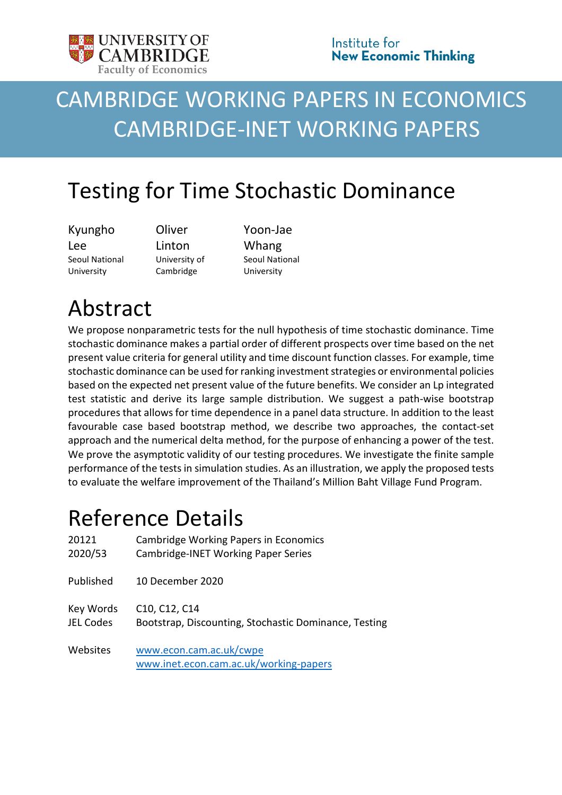

# CAMBRIDGE WORKING PAPERS IN ECONOMICS CAMBRIDGE-INET WORKING PAPERS

## Testing for Time Stochastic Dominance

Kyungho Lee Seoul National University

**Oliver** Linton University of Cambridge

Yoon-Jae Whang Seoul National University

# Abstract

We propose nonparametric tests for the null hypothesis of time stochastic dominance. Time stochastic dominance makes a partial order of different prospects over time based on the net present value criteria for general utility and time discount function classes. For example, time stochastic dominance can be used for ranking investment strategies or environmental policies based on the expected net present value of the future benefits. We consider an Lp integrated test statistic and derive its large sample distribution. We suggest a path-wise bootstrap procedures that allows for time dependence in a panel data structure. In addition to the least favourable case based bootstrap method, we describe two approaches, the contact-set approach and the numerical delta method, for the purpose of enhancing a power of the test. We prove the asymptotic validity of our testing procedures. We investigate the finite sample performance of the tests in simulation studies. As an illustration, we apply the proposed tests to evaluate the welfare improvement of the Thailand's Million Baht Village Fund Program.

## Reference Details

| 20121            | Cambridge Working Papers in Economics                             |
|------------------|-------------------------------------------------------------------|
| 2020/53          | Cambridge-INET Working Paper Series                               |
| Published        | 10 December 2020                                                  |
| Key Words        | C10, C12, C14                                                     |
| <b>JEL Codes</b> | Bootstrap, Discounting, Stochastic Dominance, Testing             |
| Websites         | www.econ.cam.ac.uk/cwpe<br>www.inet.econ.cam.ac.uk/working-papers |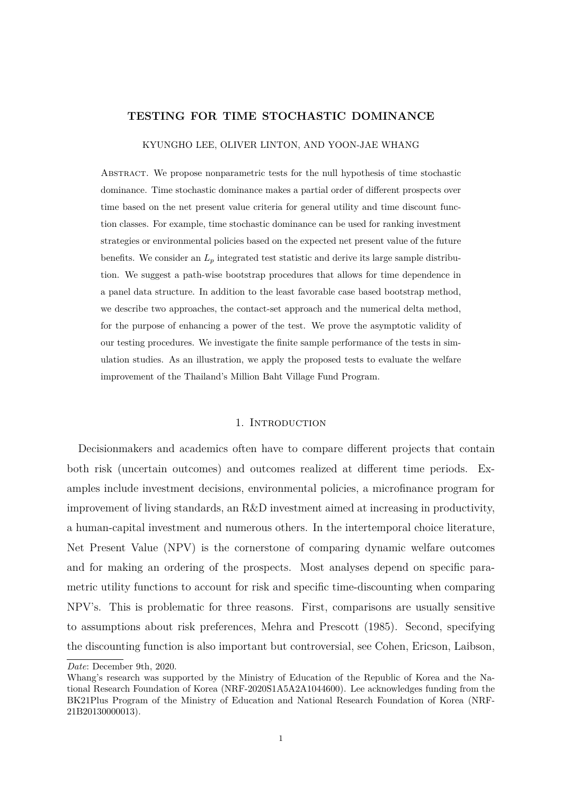## **TESTING FOR TIME STOCHASTIC DOMINANCE**

KYUNGHO LEE, OLIVER LINTON, AND YOON-JAE WHANG

Abstract. We propose nonparametric tests for the null hypothesis of time stochastic dominance. Time stochastic dominance makes a partial order of different prospects over time based on the net present value criteria for general utility and time discount function classes. For example, time stochastic dominance can be used for ranking investment strategies or environmental policies based on the expected net present value of the future benefits. We consider an *L<sup>p</sup>* integrated test statistic and derive its large sample distribution. We suggest a path-wise bootstrap procedures that allows for time dependence in a panel data structure. In addition to the least favorable case based bootstrap method, we describe two approaches, the contact-set approach and the numerical delta method, for the purpose of enhancing a power of the test. We prove the asymptotic validity of our testing procedures. We investigate the finite sample performance of the tests in simulation studies. As an illustration, we apply the proposed tests to evaluate the welfare improvement of the Thailand's Million Baht Village Fund Program.

#### 1. INTRODUCTION

Decisionmakers and academics often have to compare different projects that contain both risk (uncertain outcomes) and outcomes realized at different time periods. Examples include investment decisions, environmental policies, a microfinance program for improvement of living standards, an R&D investment aimed at increasing in productivity, a human-capital investment and numerous others. In the intertemporal choice literature, Net Present Value (NPV) is the cornerstone of comparing dynamic welfare outcomes and for making an ordering of the prospects. Most analyses depend on specific parametric utility functions to account for risk and specific time-discounting when comparing NPV's. This is problematic for three reasons. First, comparisons are usually sensitive to assumptions about risk preferences, Mehra and Prescott (1985). Second, specifying the discounting function is also important but controversial, see Cohen, Ericson, Laibson,

*Date*: December 9th, 2020.

Whang's research was supported by the Ministry of Education of the Republic of Korea and the National Research Foundation of Korea (NRF-2020S1A5A2A1044600). Lee acknowledges funding from the BK21Plus Program of the Ministry of Education and National Research Foundation of Korea (NRF-21B20130000013).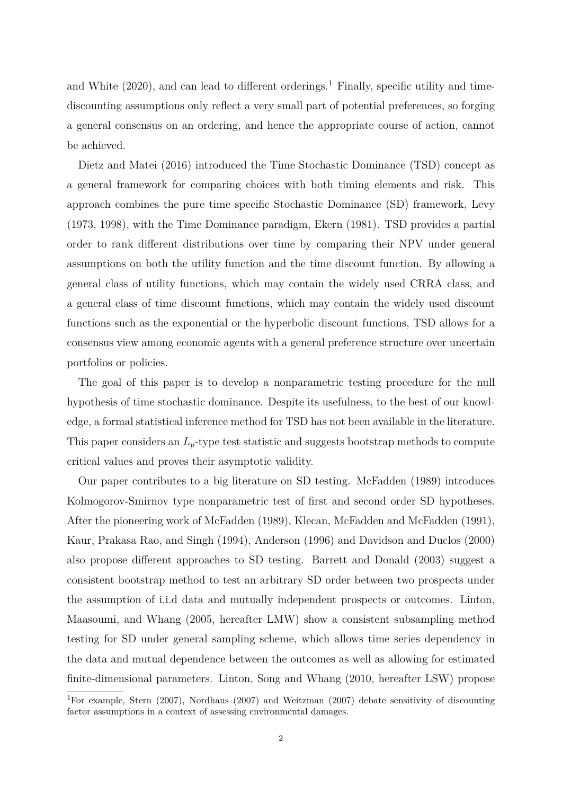and White  $(2020)$ , and can lead to different orderings.<sup>1</sup> Finally, specific utility and timediscounting assumptions only reflect a very small part of potential preferences, so forging a general consensus on an ordering, and hence the appropriate course of action, cannot be achieved.

Dietz and Matei (2016) introduced the Time Stochastic Dominance (TSD) concept as a general framework for comparing choices with both timing elements and risk. This approach combines the pure time specific Stochastic Dominance (SD) framework, Levy (1973, 1998), with the Time Dominance paradigm, Ekern (1981). TSD provides a partial order to rank different distributions over time by comparing their NPV under general assumptions on both the utility function and the time discount function. By allowing a general class of utility functions, which may contain the widely used CRRA class, and a general class of time discount functions, which may contain the widely used discount functions such as the exponential or the hyperbolic discount functions, TSD allows for a consensus view among economic agents with a general preference structure over uncertain portfolios or policies.

The goal of this paper is to develop a nonparametric testing procedure for the null hypothesis of time stochastic dominance. Despite its usefulness, to the best of our knowledge, a formal statistical inference method for TSD has not been available in the literature. This paper considers an *Lp*-type test statistic and suggests bootstrap methods to compute critical values and proves their asymptotic validity.

Our paper contributes to a big literature on SD testing. McFadden (1989) introduces Kolmogorov-Smirnov type nonparametric test of first and second order SD hypotheses. After the pioneering work of McFadden (1989), Klecan, McFadden and McFadden (1991), Kaur, Prakasa Rao, and Singh (1994), Anderson (1996) and Davidson and Duclos (2000) also propose different approaches to SD testing. Barrett and Donald (2003) suggest a consistent bootstrap method to test an arbitrary SD order between two prospects under the assumption of i.i.d data and mutually independent prospects or outcomes. Linton, Maasoumi, and Whang (2005, hereafter LMW) show a consistent subsampling method testing for SD under general sampling scheme, which allows time series dependency in the data and mutual dependence between the outcomes as well as allowing for estimated finite-dimensional parameters. Linton, Song and Whang (2010, hereafter LSW) propose

<sup>1</sup>For example, Stern (2007), Nordhaus (2007) and Weitzman (2007) debate sensitivity of discounting factor assumptions in a context of assessing environmental damages.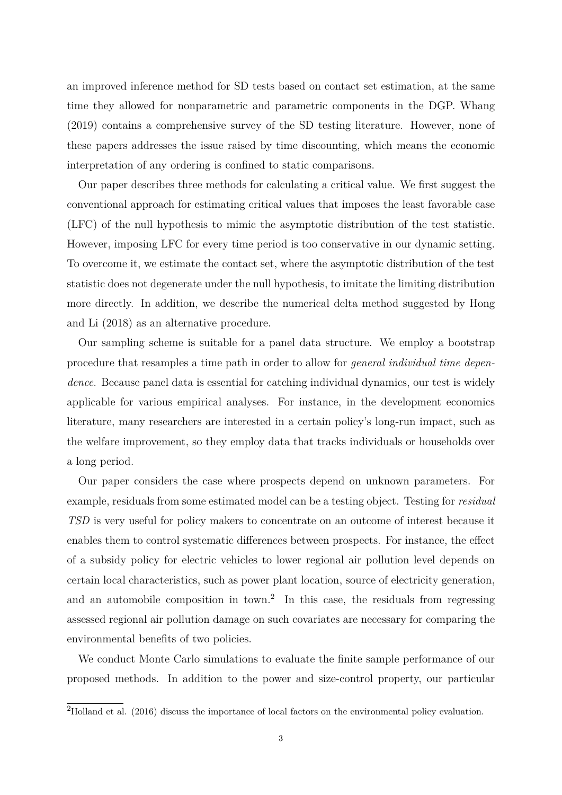an improved inference method for SD tests based on contact set estimation, at the same time they allowed for nonparametric and parametric components in the DGP. Whang (2019) contains a comprehensive survey of the SD testing literature. However, none of these papers addresses the issue raised by time discounting, which means the economic interpretation of any ordering is confined to static comparisons.

Our paper describes three methods for calculating a critical value. We first suggest the conventional approach for estimating critical values that imposes the least favorable case (LFC) of the null hypothesis to mimic the asymptotic distribution of the test statistic. However, imposing LFC for every time period is too conservative in our dynamic setting. To overcome it, we estimate the contact set, where the asymptotic distribution of the test statistic does not degenerate under the null hypothesis, to imitate the limiting distribution more directly. In addition, we describe the numerical delta method suggested by Hong and Li (2018) as an alternative procedure.

Our sampling scheme is suitable for a panel data structure. We employ a bootstrap procedure that resamples a time path in order to allow for *general individual time dependence*. Because panel data is essential for catching individual dynamics, our test is widely applicable for various empirical analyses. For instance, in the development economics literature, many researchers are interested in a certain policy's long-run impact, such as the welfare improvement, so they employ data that tracks individuals or households over a long period.

Our paper considers the case where prospects depend on unknown parameters. For example, residuals from some estimated model can be a testing object. Testing for *residual TSD* is very useful for policy makers to concentrate on an outcome of interest because it enables them to control systematic differences between prospects. For instance, the effect of a subsidy policy for electric vehicles to lower regional air pollution level depends on certain local characteristics, such as power plant location, source of electricity generation, and an automobile composition in town.<sup>2</sup> In this case, the residuals from regressing assessed regional air pollution damage on such covariates are necessary for comparing the environmental benefits of two policies.

We conduct Monte Carlo simulations to evaluate the finite sample performance of our proposed methods. In addition to the power and size-control property, our particular

<sup>2</sup>Holland et al. (2016) discuss the importance of local factors on the environmental policy evaluation.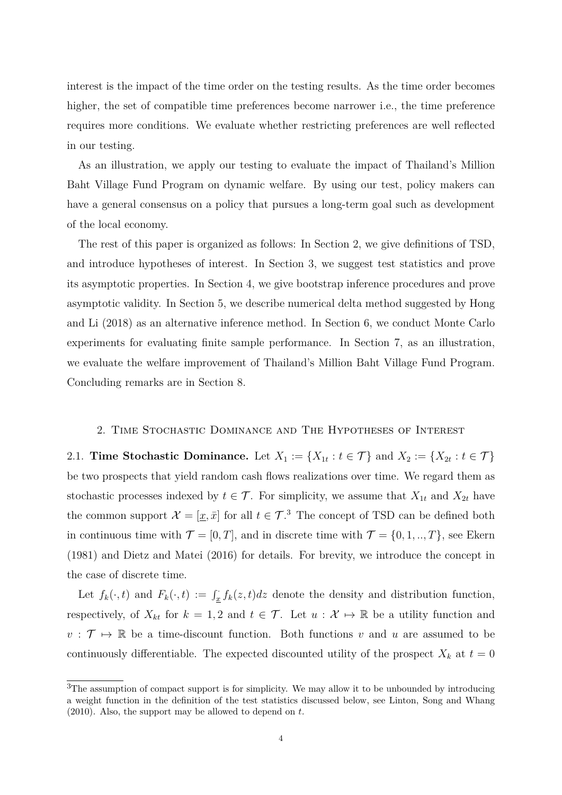interest is the impact of the time order on the testing results. As the time order becomes higher, the set of compatible time preferences become narrower i.e., the time preference requires more conditions. We evaluate whether restricting preferences are well reflected in our testing.

As an illustration, we apply our testing to evaluate the impact of Thailand's Million Baht Village Fund Program on dynamic welfare. By using our test, policy makers can have a general consensus on a policy that pursues a long-term goal such as development of the local economy.

The rest of this paper is organized as follows: In Section 2, we give definitions of TSD, and introduce hypotheses of interest. In Section 3, we suggest test statistics and prove its asymptotic properties. In Section 4, we give bootstrap inference procedures and prove asymptotic validity. In Section 5, we describe numerical delta method suggested by Hong and Li (2018) as an alternative inference method. In Section 6, we conduct Monte Carlo experiments for evaluating finite sample performance. In Section 7, as an illustration, we evaluate the welfare improvement of Thailand's Million Baht Village Fund Program. Concluding remarks are in Section 8.

#### 2. Time Stochastic Dominance and The Hypotheses of Interest

2.1. **Time Stochastic Dominance.** Let  $X_1 := \{X_{1t} : t \in \mathcal{T}\}\$  and  $X_2 := \{X_{2t} : t \in \mathcal{T}\}\$ be two prospects that yield random cash flows realizations over time. We regard them as stochastic processes indexed by  $t \in \mathcal{T}$ . For simplicity, we assume that  $X_{1t}$  and  $X_{2t}$  have the common support  $\mathcal{X} = [\underline{x}, \overline{x}]$  for all  $t \in \mathcal{T}$ .<sup>3</sup> The concept of TSD can be defined both in continuous time with  $\mathcal{T} = [0, T]$ , and in discrete time with  $\mathcal{T} = \{0, 1, \ldots, T\}$ , see Ekern (1981) and Dietz and Matei (2016) for details. For brevity, we introduce the concept in the case of discrete time.

Let  $f_k(\cdot, t)$  and  $F_k(\cdot, t) := \int_{\underline{x}}^t f_k(z, t) dz$  denote the density and distribution function, respectively, of  $X_{kt}$  for  $k = 1, 2$  and  $t \in \mathcal{T}$ . Let  $u : \mathcal{X} \mapsto \mathbb{R}$  be a utility function and  $v : \mathcal{T} \mapsto \mathbb{R}$  be a time-discount function. Both functions  $v$  and  $u$  are assumed to be continuously differentiable. The expected discounted utility of the prospect  $X_k$  at  $t=0$ 

<sup>&</sup>lt;sup>3</sup>The assumption of compact support is for simplicity. We may allow it to be unbounded by introducing a weight function in the definition of the test statistics discussed below, see Linton, Song and Whang (2010). Also, the support may be allowed to depend on *t*.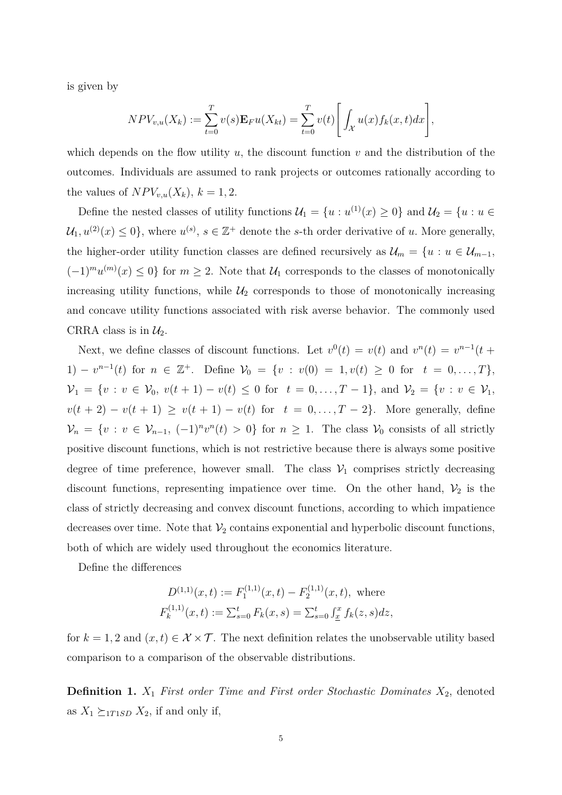is given by

$$
NPV_{v,u}(X_k) := \sum_{t=0}^{T} v(s) \mathbf{E}_F u(X_{kt}) = \sum_{t=0}^{T} v(t) \left[ \int_{\mathcal{X}} u(x) f_k(x, t) dx \right],
$$

which depends on the flow utility  $u$ , the discount function  $v$  and the distribution of the outcomes. Individuals are assumed to rank projects or outcomes rationally according to the values of  $NPV_{v,u}(X_k)$ ,  $k = 1, 2$ .

Define the nested classes of utility functions  $\mathcal{U}_1 = \{u : u^{(1)}(x) \ge 0\}$  and  $\mathcal{U}_2 = \{u : u \in$  $\mathcal{U}_1, u^{(2)}(x) \leq 0$ , where  $u^{(s)}$ ,  $s \in \mathbb{Z}^+$  denote the *s*-th order derivative of *u*. More generally, the higher-order utility function classes are defined recursively as  $\mathcal{U}_m = \{u : u \in \mathcal{U}_{m-1},\}$  $(-1)^m u^{(m)}(x) \leq 0$  for  $m \geq 2$ . Note that  $\mathcal{U}_1$  corresponds to the classes of monotonically increasing utility functions, while  $\mathcal{U}_2$  corresponds to those of monotonically increasing and concave utility functions associated with risk averse behavior. The commonly used CRRA class is in  $\mathcal{U}_2$ .

Next, we define classes of discount functions. Let  $v^0(t) = v(t)$  and  $v^n(t) = v^{n-1}(t +$ 1) –  $v^{n-1}(t)$  for  $n \in \mathbb{Z}^+$ . Define  $\mathcal{V}_0 = \{v : v(0) = 1, v(t) \geq 0 \text{ for } t = 0, ..., T\},$  $\mathcal{V}_1 = \{v : v \in \mathcal{V}_0, v(t+1) - v(t) \leq 0 \text{ for } t = 0, \ldots, T-1\}, \text{ and } \mathcal{V}_2 = \{v : v \in \mathcal{V}_1, v(t+1) - v(t) \leq 0 \text{ for } t = 0, \ldots, T-1\}$  $v(t + 2) - v(t + 1) \ge v(t + 1) - v(t)$  for  $t = 0, ..., T - 2$ . More generally, define  $V_n = \{v : v \in V_{n-1}, (-1)^n v^n(t) > 0\}$  for  $n \ge 1$ . The class  $V_0$  consists of all strictly positive discount functions, which is not restrictive because there is always some positive degree of time preference, however small. The class  $V_1$  comprises strictly decreasing discount functions, representing impatience over time. On the other hand,  $\mathcal{V}_2$  is the class of strictly decreasing and convex discount functions, according to which impatience decreases over time. Note that  $\mathcal{V}_2$  contains exponential and hyperbolic discount functions, both of which are widely used throughout the economics literature.

Define the differences

$$
D^{(1,1)}(x,t) := F_1^{(1,1)}(x,t) - F_2^{(1,1)}(x,t),
$$
 where  

$$
F_k^{(1,1)}(x,t) := \sum_{s=0}^t F_k(x,s) = \sum_{s=0}^t \int_x^x f_k(z,s)dz,
$$

for  $k = 1, 2$  and  $(x, t) \in \mathcal{X} \times \mathcal{T}$ . The next definition relates the unobservable utility based comparison to a comparison of the observable distributions.

**Definition 1.** *X*<sup>1</sup> *First order Time and First order Stochastic Dominates X*2, denoted as  $X_1 \succeq_{1T1SD} X_2$ , if and only if,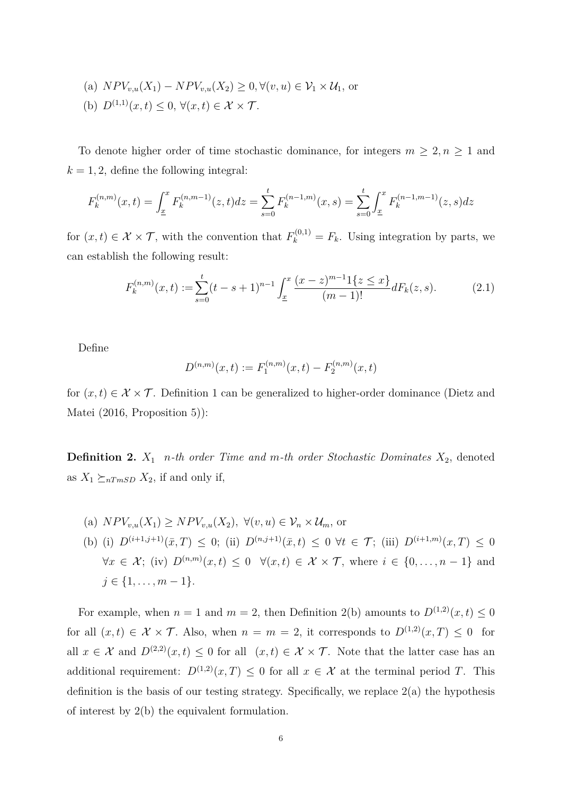(a) 
$$
NPV_{v,u}(X_1) - NPV_{v,u}(X_2) \ge 0, \forall (v, u) \in V_1 \times U_1
$$
, or  
(b)  $D^{(1,1)}(x, t) \le 0, \forall (x, t) \in \mathcal{X} \times \mathcal{T}$ .

To denote higher order of time stochastic dominance, for integers  $m \geq 2, n \geq 1$  and  $k = 1, 2$ , define the following integral:

$$
F_k^{(n,m)}(x,t) = \int_{\underline{x}}^x F_k^{(n,m-1)}(z,t)dz = \sum_{s=0}^t F_k^{(n-1,m)}(x,s) = \sum_{s=0}^t \int_{\underline{x}}^x F_k^{(n-1,m-1)}(z,s)dz
$$

for  $(x, t) \in \mathcal{X} \times \mathcal{T}$ , with the convention that  $F_k^{(0,1)} = F_k$ . Using integration by parts, we can establish the following result:

$$
F_k^{(n,m)}(x,t) := \sum_{s=0}^t (t-s+1)^{n-1} \int_{\underline{x}}^x \frac{(x-z)^{m-1}1\{z \le x\}}{(m-1)!} dF_k(z,s).
$$
 (2.1)

Define

$$
D^{(n,m)}(x,t) := F_1^{(n,m)}(x,t) - F_2^{(n,m)}(x,t)
$$

for  $(x, t) \in \mathcal{X} \times \mathcal{T}$ . Definition 1 can be generalized to higher-order dominance (Dietz and Matei (2016, Proposition 5)):

**Definition 2.** *X*<sup>1</sup> *n-th order Time and m-th order Stochastic Dominates X*2, denoted as  $X_1 \succeq_{nTmSD} X_2$ , if and only if,

(a)  $NPV_{v,u}(X_1) \geq NPV_{v,u}(X_2)$ ,  $\forall (v, u) \in V_n \times \mathcal{U}_m$ , or (b) (i)  $D^{(i+1,j+1)}(\bar{x},T) \leq 0$ ; (ii)  $D^{(n,j+1)}(\bar{x},t) \leq 0 \ \forall t \in \mathcal{T}$ ; (iii)  $D^{(i+1,m)}(x,T) \leq 0$  $\forall x \in \mathcal{X}$ ; (iv)  $D^{(n,m)}(x,t) \leq 0 \quad \forall (x,t) \in \mathcal{X} \times \mathcal{T}$ , where  $i \in \{0,\ldots,n-1\}$  and  $j \in \{1, \ldots, m-1\}.$ 

For example, when  $n = 1$  and  $m = 2$ , then Definition 2(b) amounts to  $D^{(1,2)}(x,t) \leq 0$ for all  $(x,t) \in \mathcal{X} \times \mathcal{T}$ . Also, when  $n = m = 2$ , it corresponds to  $D^{(1,2)}(x,T) \leq 0$  for all  $x \in \mathcal{X}$  and  $D^{(2,2)}(x,t) \leq 0$  for all  $(x,t) \in \mathcal{X} \times \mathcal{T}$ . Note that the latter case has an additional requirement:  $D^{(1,2)}(x,T) \leq 0$  for all  $x \in \mathcal{X}$  at the terminal period *T*. This definition is the basis of our testing strategy. Specifically, we replace  $2(a)$  the hypothesis of interest by 2(b) the equivalent formulation.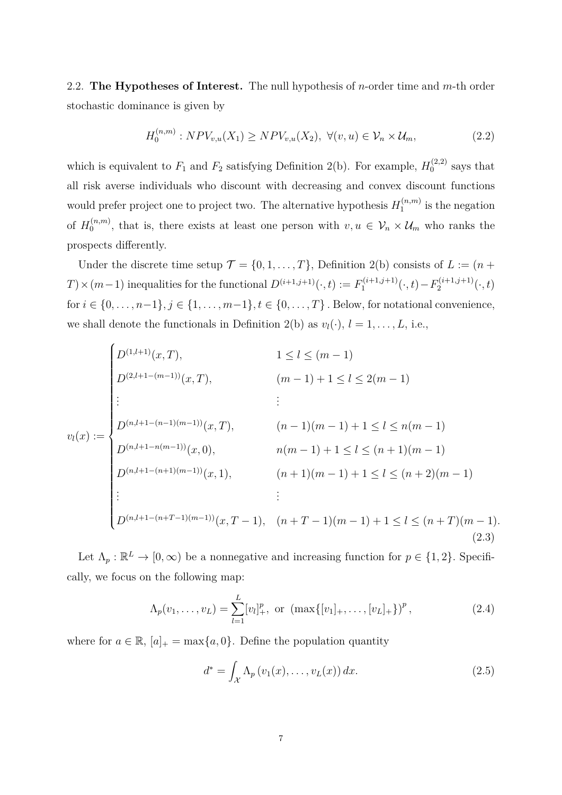2.2. **The Hypotheses of Interest.** The null hypothesis of *n*-order time and *m*-th order stochastic dominance is given by

$$
H_0^{(n,m)}: NPV_{v,u}(X_1) \ge NPV_{v,u}(X_2), \ \forall (v,u) \in \mathcal{V}_n \times \mathcal{U}_m,
$$
\n(2.2)

which is equivalent to  $F_1$  and  $F_2$  satisfying Definition 2(b). For example,  $H_0^{(2,2)}$  $0^{(2,2)}$  says that all risk averse individuals who discount with decreasing and convex discount functions would prefer project one to project two. The alternative hypothesis  $H_1^{(n,m)}$  $i_1^{(n,m)}$  is the negation of  $H_0^{(n,m)}$  $\mathcal{O}_0^{(n,m)}$ , that is, there exists at least one person with  $v, u \in \mathcal{V}_n \times \mathcal{U}_m$  who ranks the prospects differently.

Under the discrete time setup  $\mathcal{T} = \{0, 1, \ldots, T\}$ , Definition 2(b) consists of  $L := (n +$ *T*) × (*m*−1) inequalities for the functional  $D^{(i+1,j+1)}(·, t) := F_1^{(i+1,j+1)}$  $T_1^{(i+1,j+1)}(\cdot, t) - F_2^{(i+1,j+1)}$  $2^{(i+1,j+1)}(\cdot,t)$ for  $i \in \{0, ..., n-1\}$ ,  $j \in \{1, ..., m-1\}$ ,  $t \in \{0, ..., T\}$ . Below, for notational convenience, we shall denote the functionals in Definition 2(b) as  $v_l(\cdot)$ ,  $l = 1, \ldots, L$ , i.e.,

$$
v_{l}(x) := \begin{cases} D^{(1,l+1)}(x, T), & 1 \leq l \leq (m-1) \\ D^{(2,l+1-(m-1))}(x, T), & (m-1)+1 \leq l \leq 2(m-1) \\ \vdots & \vdots \\ D^{(n,l+1-(n-1)(m-1))}(x, T), & (n-1)(m-1)+1 \leq l \leq n(m-1) \\ D^{(n,l+1-n(m-1))}(x, 0), & n(m-1)+1 \leq l \leq (n+1)(m-1) \\ \vdots & \vdots \\ D^{(n,l+1-(n+1)(m-1))}(x, 1), & (n+1)(m-1)+1 \leq l \leq (n+2)(m-1) \\ \vdots & \vdots \end{cases}
$$
(2.3)

Let  $\Lambda_p : \mathbb{R}^L \to [0, \infty)$  be a nonnegative and increasing function for  $p \in \{1, 2\}$ . Specifically, we focus on the following map:

$$
\Lambda_p(v_1,\ldots,v_L) = \sum_{l=1}^L [v_l]_+^p, \text{ or } (\max\{[v_1]_+,\ldots,[v_L]_+\})^p,
$$
\n(2.4)

where for  $a \in \mathbb{R}$ ,  $[a]_+ = \max\{a, 0\}$ . Define the population quantity

$$
d^* = \int_{\mathcal{X}} \Lambda_p \left( v_1(x), \dots, v_L(x) \right) dx. \tag{2.5}
$$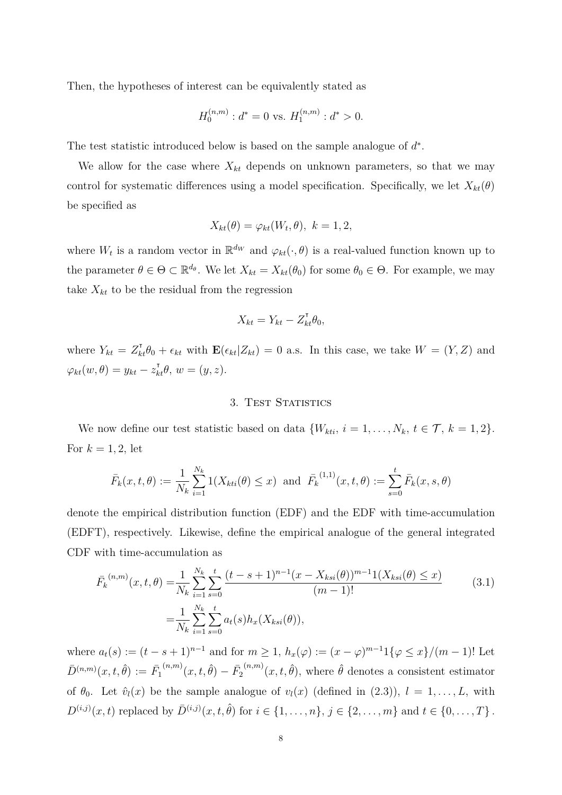Then, the hypotheses of interest can be equivalently stated as

$$
H_0^{(n,m)}: d^* = 0 \text{ vs. } H_1^{(n,m)}: d^* > 0.
$$

The test statistic introduced below is based on the sample analogue of *d* ∗ *.*

We allow for the case where  $X_{kt}$  depends on unknown parameters, so that we may control for systematic differences using a model specification. Specifically, we let  $X_{kt}(\theta)$ be specified as

$$
X_{kt}(\theta) = \varphi_{kt}(W_t, \theta), \ k = 1, 2,
$$

where  $W_t$  is a random vector in  $\mathbb{R}^{d_W}$  and  $\varphi_{kt}(\cdot, \theta)$  is a real-valued function known up to the parameter  $\theta \in \Theta \subset \mathbb{R}^{d_{\theta}}$ . We let  $X_{kt} = X_{kt}(\theta_0)$  for some  $\theta_0 \in \Theta$ . For example, we may take  $X_{kt}$  to be the residual from the regression

$$
X_{kt} = Y_{kt} - Z_{kt}^{\mathsf{T}} \theta_0,
$$

where  $Y_{kt} = Z_{kt}^{\dagger} \theta_0 + \epsilon_{kt}$  with  $\mathbf{E}(\epsilon_{kt} | Z_{kt}) = 0$  a.s. In this case, we take  $W = (Y, Z)$  and  $\varphi_{kt}(w, \theta) = y_{kt} - z_{kt}^{\dagger} \theta, w = (y, z).$ 

#### 3. TEST STATISTICS

We now define our test statistic based on data  $\{W_{kti}, i = 1, \ldots, N_k, t \in \mathcal{T}, k = 1, 2\}.$ For  $k = 1, 2$ , let

$$
\bar{F}_k(x, t, \theta) := \frac{1}{N_k} \sum_{i=1}^{N_k} 1(X_{kti}(\theta) \le x)
$$
 and  $\bar{F}_k^{(1,1)}(x, t, \theta) := \sum_{s=0}^t \bar{F}_k(x, s, \theta)$ 

denote the empirical distribution function (EDF) and the EDF with time-accumulation (EDFT), respectively. Likewise, define the empirical analogue of the general integrated CDF with time-accumulation as

$$
\bar{F}_k^{(n,m)}(x,t,\theta) = \frac{1}{N_k} \sum_{i=1}^{N_k} \sum_{s=0}^t \frac{(t-s+1)^{n-1} (x - X_{ksi}(\theta))^{m-1} 1(X_{ksi}(\theta) \le x)}{(m-1)!} \n= \frac{1}{N_k} \sum_{i=1}^{N_k} \sum_{s=0}^t a_t(s) h_x(X_{ksi}(\theta)),
$$
\n(3.1)

where  $a_t(s) := (t - s + 1)^{n-1}$  and for  $m \ge 1$ ,  $h_x(\varphi) := (x - \varphi)^{m-1} 1 \{ \varphi \le x \} / (m - 1)!$  Let  $\bar{D}^{(n,m)}(x,t,\hat{\theta}) := \bar{F}_1$  $\bar{f}^{(n,m)}(x,t,\hat{\theta})-\bar{F}_2$  $({}^{(n,m)}(x,t,\hat{\theta})$ , where  $\hat{\theta}$  denotes a consistent estimator of  $\theta_0$ . Let  $\hat{v}_l(x)$  be the sample analogue of  $v_l(x)$  (defined in (2.3)),  $l = 1, \ldots, L$ , with  $D^{(i,j)}(x,t)$  replaced by  $\bar{D}^{(i,j)}(x,t,\hat{\theta})$  for  $i \in \{1,\ldots,n\}, j \in \{2,\ldots,m\}$  and  $t \in \{0,\ldots,T\}$ .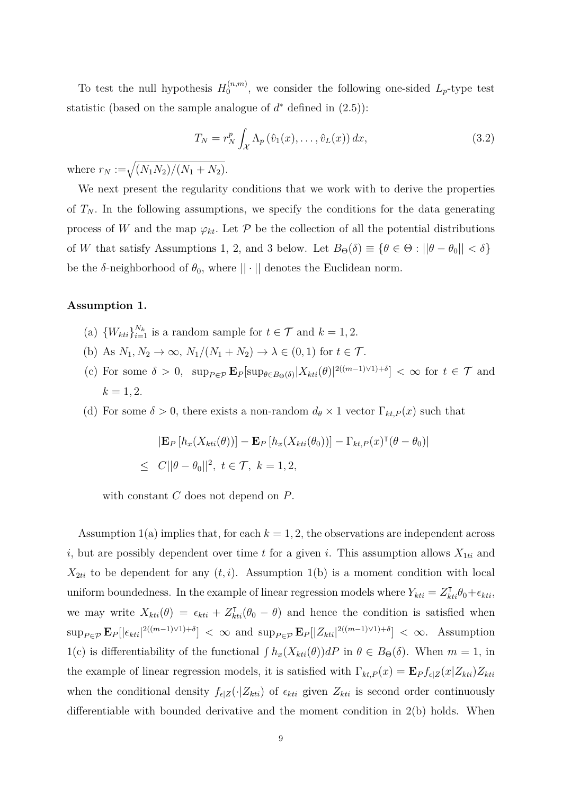To test the null hypothesis  $H_0^{(n,m)}$  $\int_{0}^{\cdot (n,m)}$ , we consider the following one-sided  $L_p$ -type test statistic (based on the sample analogue of  $d^*$  defined in  $(2.5)$ ):

$$
T_N = r_N^p \int_{\mathcal{X}} \Lambda_p\left(\hat{v}_1(x), \dots, \hat{v}_L(x)\right) dx,\tag{3.2}
$$

where  $r_N := \sqrt{\frac{(N_1 N_2)}{(N_1 + N_2)}}$ .

We next present the regularity conditions that we work with to derive the properties of  $T_N$ . In the following assumptions, we specify the conditions for the data generating process of *W* and the map  $\varphi_{kt}$ . Let  $\mathcal P$  be the collection of all the potential distributions of *W* that satisfy Assumptions 1, 2, and 3 below. Let  $B_{\Theta}(\delta) \equiv \{\theta \in \Theta : ||\theta - \theta_0|| < \delta\}$ be the  $\delta$ -neighborhood of  $\theta_0$ , where  $|| \cdot ||$  denotes the Euclidean norm.

### **Assumption 1.**

- (a)  $\{W_{kti}\}_{i=1}^{N_k}$  is a random sample for  $t \in \mathcal{T}$  and  $k = 1, 2$ .
- (b) As  $N_1, N_2 \to \infty$ ,  $N_1/(N_1 + N_2) \to \lambda \in (0, 1)$  for  $t \in \mathcal{T}$ .
- $\mathbb{E}[\sup_{\theta \in B_{\Theta}(\delta)} |X_{\xi}(t)|^2$  ((*m*−1)∨1)+*δ*]  $< \infty$  for  $t \in \mathcal{T}$  and  $k = 1, 2.$
- (d) For some  $\delta > 0$ , there exists a non-random  $d_{\theta} \times 1$  vector  $\Gamma_{kt,P}(x)$  such that

$$
|\mathbf{E}_P[h_x(X_{kti}(\theta))] - \mathbf{E}_P[h_x(X_{kti}(\theta_0))] - \Gamma_{kt,P}(x)^{\mathsf{T}}(\theta - \theta_0)|
$$
  
\n
$$
\leq C||\theta - \theta_0||^2, \ t \in \mathcal{T}, \ k = 1, 2,
$$

with constant *C* does not depend on *P*.

Assumption  $1(a)$  implies that, for each  $k = 1, 2$ , the observations are independent across *i*, but are possibly dependent over time *t* for a given *i*. This assumption allows  $X_{1ti}$  and  $X_{2ti}$  to be dependent for any  $(t, i)$ . Assumption 1(b) is a moment condition with local uniform boundedness. In the example of linear regression models where  $Y_{kti} = Z_{kti}^{\dagger} \theta_0 + \epsilon_{kti}$ , we may write  $X_{kti}(\theta) = \epsilon_{kti} + Z_{kti}^{\dagger}(\theta_0 - \theta)$  and hence the condition is satisfied when  $\sup_{P \in \mathcal{P}} \mathbf{E}_P[|\epsilon_{kti}|^{2((m-1)\vee 1)+\delta}] < \infty$  and  $\sup_{P \in \mathcal{P}} \mathbf{E}_P[|Z_{kti}|^{2((m-1)\vee 1)+\delta}] < \infty$ . Assumption 1(c) is differentiability of the functional  $\int h_x(X_{kti}(\theta))dP$  in  $\theta \in B_{\Theta}(\delta)$ . When  $m = 1$ , in the example of linear regression models, it is satisfied with  $\Gamma_{kt,P}(x) = \mathbf{E}_P f_{\epsilon|Z}(x|Z_{kti})Z_{kti}$ when the conditional density  $f_{\epsilon|Z}(\cdot|Z_{kt})$  of  $\epsilon_{kti}$  given  $Z_{kti}$  is second order continuously differentiable with bounded derivative and the moment condition in 2(b) holds. When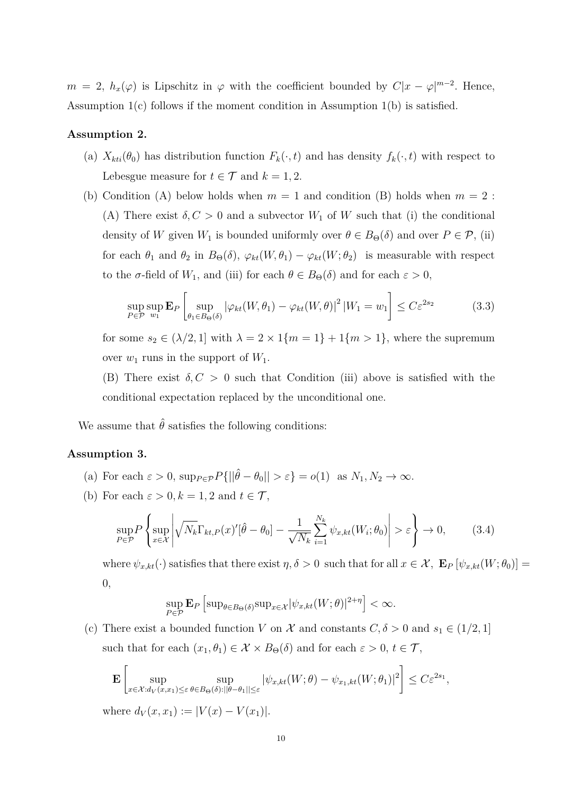$m = 2$ ,  $h_x(\varphi)$  is Lipschitz in  $\varphi$  with the coefficient bounded by  $C|x - \varphi|^{m-2}$ . Hence, Assumption 1(c) follows if the moment condition in Assumption 1(b) is satisfied.

#### **Assumption 2.**

- (a)  $X_{kti}(\theta_0)$  has distribution function  $F_k(\cdot, t)$  and has density  $f_k(\cdot, t)$  with respect to Lebesgue measure for  $t \in \mathcal{T}$  and  $k = 1, 2$ .
- (b) Condition (A) below holds when  $m = 1$  and condition (B) holds when  $m = 2$ : (A) There exist  $\delta, C > 0$  and a subvector  $W_1$  of W such that (i) the conditional density of *W* given  $W_1$  is bounded uniformly over  $\theta \in B_\Theta(\delta)$  and over  $P \in \mathcal{P}$ , (ii) for each  $\theta_1$  and  $\theta_2$  in  $B_{\Theta}(\delta)$ ,  $\varphi_{kt}(W, \theta_1) - \varphi_{kt}(W, \theta_2)$  is measurable with respect to the  $\sigma$ -field of  $W_1$ , and (iii) for each  $\theta \in B_\Theta(\delta)$  and for each  $\varepsilon > 0$ ,

$$
\sup_{P \in \mathcal{P}} \sup_{w_1} \mathbf{E}_P \left[ \sup_{\theta_1 \in B_{\Theta}(\delta)} |\varphi_{kt}(W, \theta_1) - \varphi_{kt}(W, \theta)|^2 |W_1 = w_1 \right] \le C \varepsilon^{2s_2} \tag{3.3}
$$

for some  $s_2 \in (\lambda/2, 1]$  with  $\lambda = 2 \times 1$  { $m = 1$ } + 1 { $m > 1$ }, where the supremum over  $w_1$  runs in the support of  $W_1$ .

(B) There exist  $\delta, C > 0$  such that Condition (iii) above is satisfied with the conditional expectation replaced by the unconditional one.

We assume that  $\hat{\theta}$  satisfies the following conditions:

#### **Assumption 3.**

- (a) For each  $\varepsilon > 0$ ,  $\sup_{P \in \mathcal{P}} P\{||\hat{\theta} \theta_0|| > \varepsilon\} = o(1)$  as  $N_1, N_2 \to \infty$ .
- (b) For each  $\varepsilon > 0, k = 1, 2$  and  $t \in \mathcal{T}$ ,

$$
\sup_{P \in \mathcal{P}} \left\{ \sup_{x \in \mathcal{X}} \left| \sqrt{N_k} \Gamma_{kt,P}(x)'[\hat{\theta} - \theta_0] - \frac{1}{\sqrt{N_k}} \sum_{i=1}^{N_k} \psi_{x,kt}(W_i; \theta_0) \right| > \varepsilon \right\} \to 0,
$$
 (3.4)

where  $\psi_{x,kt}(\cdot)$  satisfies that there exist  $\eta, \delta > 0$  such that for all  $x \in \mathcal{X}$ ,  $\mathbf{E}_P \left[ \psi_{x,kt}(W; \theta_0) \right] =$ 0*,*

$$
\sup_{P \in \mathcal{P}} \mathbf{E}_P \left[ \sup_{\theta \in B_{\Theta}(\delta)} \sup_{x \in \mathcal{X}} |\psi_{x,kt}(W; \theta)|^{2+\eta} \right] < \infty.
$$

(c) There exist a bounded function *V* on  $\mathcal X$  and constants  $C, \delta > 0$  and  $s_1 \in (1/2, 1]$ such that for each  $(x_1, \theta_1) \in \mathcal{X} \times B_{\Theta}(\delta)$  and for each  $\varepsilon > 0, t \in \mathcal{T}$ ,

$$
\mathbf{E}\left[\sup_{x\in\mathcal{X}:d_V(x,x_1)\leq\varepsilon}\sup_{\theta\in B_{\Theta}(\delta):||\theta-\theta_1||\leq\varepsilon}|\psi_{x,kt}(W;\theta)-\psi_{x_1,kt}(W;\theta_1)|^2\right]\leq C\varepsilon^{2s_1},
$$

where  $d_V(x, x_1) := |V(x) - V(x_1)|$ .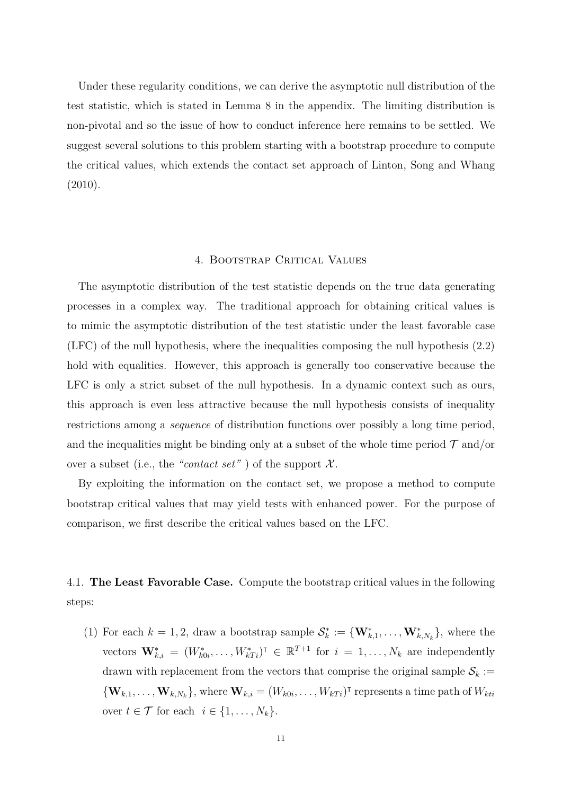Under these regularity conditions, we can derive the asymptotic null distribution of the test statistic, which is stated in Lemma 8 in the appendix. The limiting distribution is non-pivotal and so the issue of how to conduct inference here remains to be settled. We suggest several solutions to this problem starting with a bootstrap procedure to compute the critical values, which extends the contact set approach of Linton, Song and Whang  $(2010).$ 

#### 4. Bootstrap Critical Values

The asymptotic distribution of the test statistic depends on the true data generating processes in a complex way. The traditional approach for obtaining critical values is to mimic the asymptotic distribution of the test statistic under the least favorable case (LFC) of the null hypothesis, where the inequalities composing the null hypothesis (2.2) hold with equalities. However, this approach is generally too conservative because the LFC is only a strict subset of the null hypothesis. In a dynamic context such as ours, this approach is even less attractive because the null hypothesis consists of inequality restrictions among a *sequence* of distribution functions over possibly a long time period, and the inequalities might be binding only at a subset of the whole time period  $\mathcal T$  and/or over a subset (i.e., the "*contact set*") of the support  $\mathcal{X}$ .

By exploiting the information on the contact set, we propose a method to compute bootstrap critical values that may yield tests with enhanced power. For the purpose of comparison, we first describe the critical values based on the LFC.

4.1. **The Least Favorable Case.** Compute the bootstrap critical values in the following steps:

(1) For each  $k = 1, 2$ , draw a bootstrap sample  $\mathcal{S}_k^* := \{\mathbf{W}_{k,1}^*, \dots, \mathbf{W}_{k,N_k}^*\}$ , where the vectors  $\mathbf{W}_{k,i}^* = (W_{k0i}^*, \ldots, W_{kTi}^*)^{\mathsf{T}} \in \mathbb{R}^{T+1}$  for  $i = 1, \ldots, N_k$  are independently drawn with replacement from the vectors that comprise the original sample  $S_k :=$  ${\bf\{W}}_{k,1},\ldots,{\bf W}_{k,N_k}$ , where  ${\bf W}_{k,i}=(W_{k0i},\ldots,W_{kTi})^{\dagger}$  represents a time path of  $W_{kti}$ over  $t \in \mathcal{T}$  for each  $i \in \{1, \ldots, N_k\}$ .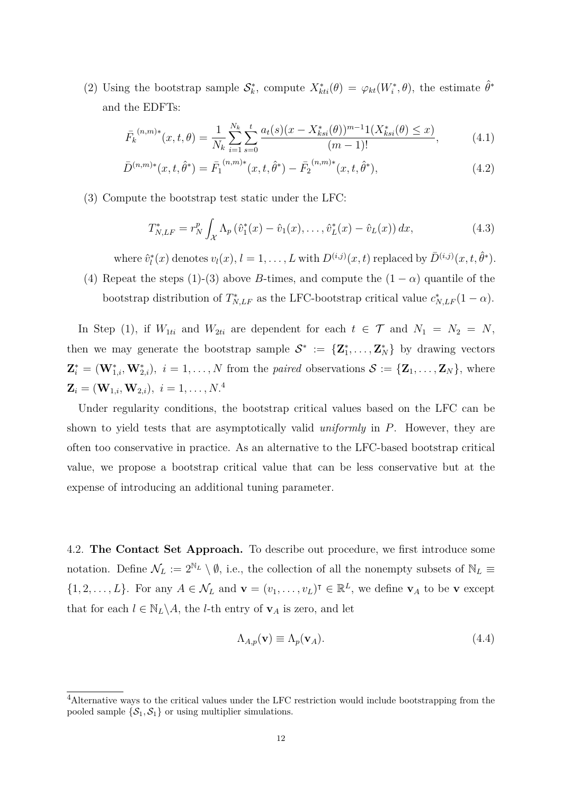(2) Using the bootstrap sample  $S_k^*$ , compute  $X_{kti}^*(\theta) = \varphi_{kt}(W_i^*, \theta)$ , the estimate  $\hat{\theta}^*$ and the EDFTs:

$$
\bar{F_k}^{(n,m)*}(x,t,\theta) = \frac{1}{N_k} \sum_{i=1}^{N_k} \sum_{s=0}^t \frac{a_t(s)(x - X_{ksi}^*(\theta))^{m-1} 1(X_{ksi}^*(\theta) \le x)}{(m-1)!},
$$
\n(4.1)

$$
\bar{D}^{(n,m)*}(x,t,\hat{\theta}^*) = \bar{F}_1^{(n,m)*}(x,t,\hat{\theta}^*) - \bar{F}_2^{(n,m)*}(x,t,\hat{\theta}^*),
$$
\n(4.2)

(3) Compute the bootstrap test static under the LFC:

$$
T_{N,LF}^{*} = r_{N}^{p} \int_{\mathcal{X}} \Lambda_{p} \left( \hat{v}_{1}^{*}(x) - \hat{v}_{1}(x), \dots, \hat{v}_{L}^{*}(x) - \hat{v}_{L}(x) \right) dx, \tag{4.3}
$$

where  $\hat{v}_l^*(x)$  denotes  $v_l(x)$ ,  $l = 1, \ldots, L$  with  $D^{(i,j)}(x, t)$  replaced by  $\bar{D}^{(i,j)}(x, t, \hat{\theta}^*)$ .

(4) Repeat the steps (1)-(3) above *B*-times, and compute the  $(1 - \alpha)$  quantile of the bootstrap distribution of  $T_{N,LF}^*$  as the LFC-bootstrap critical value  $c_{N,LF}^*(1-\alpha)$ .

In Step (1), if  $W_{1ti}$  and  $W_{2ti}$  are dependent for each  $t \in \mathcal{T}$  and  $N_1 = N_2 = N$ , then we may generate the bootstrap sample  $S^* := \{Z_1^*, \ldots, Z_N^*\}$  by drawing vectors  $\mathbf{Z}_i^* = (\mathbf{W}_{1,i}^*, \mathbf{W}_{2,i}^*), i = 1, \ldots, N$  from the *paired* observations  $\mathcal{S} := {\mathbf{Z}_1, \ldots, \mathbf{Z}_N}$ , where  $\mathbf{Z}_i = (\mathbf{W}_{1,i}, \mathbf{W}_{2,i}), i = 1, \ldots, N$ <sup>4</sup>

Under regularity conditions, the bootstrap critical values based on the LFC can be shown to yield tests that are asymptotically valid *uniformly* in *P*. However, they are often too conservative in practice. As an alternative to the LFC-based bootstrap critical value, we propose a bootstrap critical value that can be less conservative but at the expense of introducing an additional tuning parameter.

4.2. **The Contact Set Approach.** To describe out procedure, we first introduce some notation. Define  $\mathcal{N}_L := 2^{\mathbb{N}_L} \setminus \emptyset$ , i.e., the collection of all the nonempty subsets of  $\mathbb{N}_L \equiv$  $\{1, 2, \ldots, L\}$ . For any  $A \in \mathcal{N}_L$  and  $\mathbf{v} = (v_1, \ldots, v_L)^\intercal \in \mathbb{R}^L$ , we define  $\mathbf{v}_A$  to be  $\mathbf{v}$  except that for each  $l \in \mathbb{N}_L \backslash A$ , the *l*-th entry of  $\mathbf{v}_A$  is zero, and let

$$
\Lambda_{A,p}(\mathbf{v}) \equiv \Lambda_p(\mathbf{v}_A). \tag{4.4}
$$

<sup>4</sup>Alternative ways to the critical values under the LFC restriction would include bootstrapping from the pooled sample  $\{S_1, S_1\}$  or using multiplier simulations.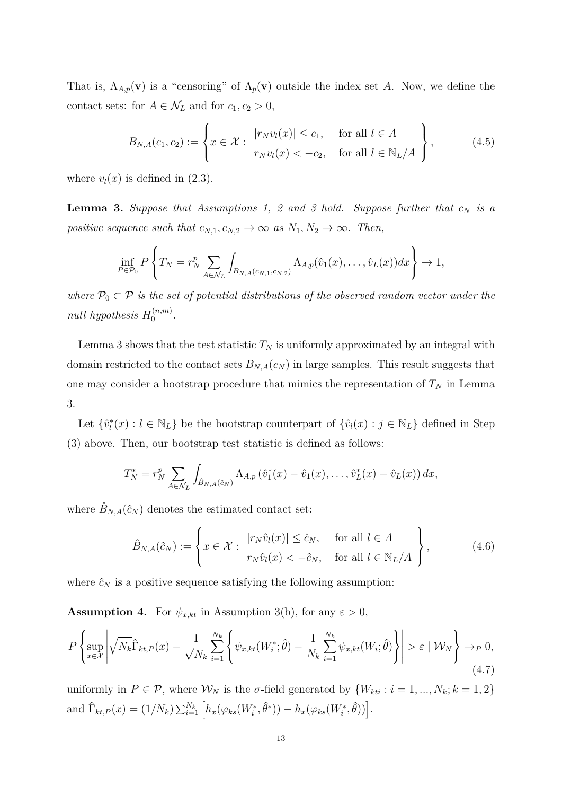That is,  $\Lambda_{A,p}(\mathbf{v})$  is a "censoring" of  $\Lambda_p(\mathbf{v})$  outside the index set A. Now, we define the contact sets: for  $A \in \mathcal{N}_L$  and for  $c_1, c_2 > 0$ ,

$$
B_{N,A}(c_1,c_2) := \left\{ x \in \mathcal{X} : \begin{array}{ll} |r_N v_l(x)| \leq c_1, & \text{for all } l \in A \\ r_N v_l(x) < -c_2, & \text{for all } l \in \mathbb{N}_L/A \end{array} \right\},\tag{4.5}
$$

where  $v_l(x)$  is defined in (2.3).

**Lemma 3.** *Suppose that Assumptions 1, 2 and 3 hold. Suppose further that c<sup>N</sup> is a positive sequence such that*  $c_{N,1}, c_{N,2} \to \infty$  *as*  $N_1, N_2 \to \infty$ *. Then,* 

$$
\inf_{P \in \mathcal{P}_0} P\left\{T_N = r_N^p \sum_{A \in \mathcal{N}_L} \int_{B_{N,A}(c_{N,1}, c_{N,2})} \Lambda_{A,p}(\hat{v}_1(x), \dots, \hat{v}_L(x)) dx\right\} \to 1,
$$

*where*  $P_0 \subset P$  *is the set of potential distributions of the observed random vector under the null hypothesis*  $H_0^{(n,m)}$  $\stackrel{(n,m)}{0}$ .

Lemma 3 shows that the test statistic  $T_N$  is uniformly approximated by an integral with domain restricted to the contact sets  $B_{N,A}(c_N)$  in large samples. This result suggests that one may consider a bootstrap procedure that mimics the representation of  $T<sub>N</sub>$  in Lemma 3.

Let  $\{\hat{v}_l^*(x) : l \in \mathbb{N}_L\}$  be the bootstrap counterpart of  $\{\hat{v}_l(x) : j \in \mathbb{N}_L\}$  defined in Step (3) above. Then, our bootstrap test statistic is defined as follows:

$$
T_N^* = r_N^p \sum_{A \in \mathcal{N}_L} \int_{\hat{B}_{N,A}(\hat{c}_N)} \Lambda_{A,p}(\hat{v}_1^*(x) - \hat{v}_1(x), \dots, \hat{v}_L^*(x) - \hat{v}_L(x)) dx,
$$

where  $\hat{B}_{N,A}(\hat{c}_N)$  denotes the estimated contact set:

$$
\hat{B}_{N,A}(\hat{c}_N) := \left\{ x \in \mathcal{X} : \begin{array}{l} |r_N \hat{v}_l(x)| \leq \hat{c}_N, & \text{for all } l \in A \\ r_N \hat{v}_l(x) < -\hat{c}_N, & \text{for all } l \in \mathbb{N}_L/A \end{array} \right\},\tag{4.6}
$$

where  $\hat{c}_N$  is a positive sequence satisfying the following assumption:

**Assumption 4.** For  $\psi_{x,kt}$  in Assumption 3(b), for any  $\varepsilon > 0$ ,

$$
P\left\{\sup_{x\in\mathcal{X}}\left|\sqrt{N_k}\hat{\Gamma}_{kt,P}(x)-\frac{1}{\sqrt{N_k}}\sum_{i=1}^{N_k}\left\{\psi_{x,kt}(W_i^*;\hat{\theta})-\frac{1}{N_k}\sum_{i=1}^{N_k}\psi_{x,kt}(W_i;\hat{\theta})\right\}\right|>\varepsilon\mid\mathcal{W}_N\right\}\to_{P} 0,
$$
\n(4.7)

uniformly in  $P \in \mathcal{P}$ , where  $\mathcal{W}_N$  is the *σ*-field generated by  $\{W_{kti} : i = 1, ..., N_k; k = 1, 2\}$ and  $\hat{\Gamma}_{kt,P}(x) = (1/N_k) \sum_{i=1}^{N_k} \left[ h_x(\varphi_{ks}(W_i^*, \hat{\theta}^*)) - h_x(\varphi_{ks}(W_i^*, \hat{\theta})) \right].$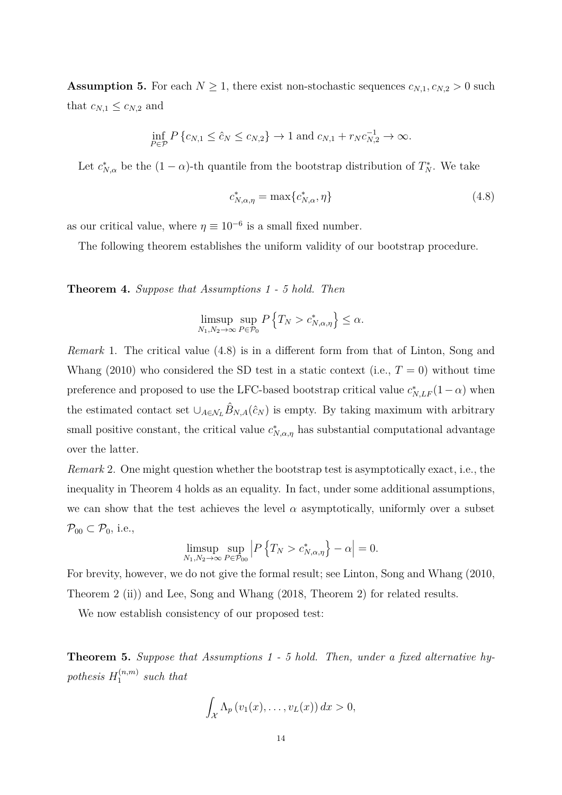**Assumption 5.** For each  $N \geq 1$ , there exist non-stochastic sequences  $c_{N,1}, c_{N,2} > 0$  such that  $c_{N,1} \leq c_{N,2}$  and

$$
\inf_{P \in \mathcal{P}} P\{c_{N,1} \le \hat{c}_N \le c_{N,2}\} \to 1 \text{ and } c_{N,1} + r_N c_{N,2}^{-1} \to \infty.
$$

Let  $c_{N,\alpha}^*$  be the  $(1-\alpha)$ -th quantile from the bootstrap distribution of  $T_N^*$ . We take

$$
c_{N,\alpha,\eta}^* = \max\{c_{N,\alpha}^*, \eta\}
$$
\n
$$
(4.8)
$$

as our critical value, where  $\eta \equiv 10^{-6}$  is a small fixed number.

The following theorem establishes the uniform validity of our bootstrap procedure.

**Theorem 4.** *Suppose that Assumptions 1 - 5 hold. Then*

$$
\limsup_{N_1,N_2\to\infty}\sup_{P\in\mathcal{P}_0}P\left\{T_N>c^*_{N,\alpha,\eta}\right\}\leq\alpha.
$$

*Remark* 1. The critical value (4.8) is in a different form from that of Linton, Song and Whang (2010) who considered the SD test in a static context (i.e.,  $T = 0$ ) without time preference and proposed to use the LFC-based bootstrap critical value  $c^*_{N,LF}(1-\alpha)$  when the estimated contact set  $\cup_{A\in\mathcal{N}_L}\hat{B}_{N,A}(\hat{c}_N)$  is empty. By taking maximum with arbitrary small positive constant, the critical value  $c^*_{N,\alpha,\eta}$  has substantial computational advantage over the latter.

*Remark* 2. One might question whether the bootstrap test is asymptotically exact, i.e., the inequality in Theorem 4 holds as an equality. In fact, under some additional assumptions, we can show that the test achieves the level  $\alpha$  asymptotically, uniformly over a subset  $\mathcal{P}_{00} \subset \mathcal{P}_0$ , i.e.,

$$
\limsup_{N_1,N_2\to\infty}\sup_{P\in\mathcal{P}_{00}}\left|P\left\{T_N>c^*_{N,\alpha,\eta}\right\}-\alpha\right|=0.
$$

For brevity, however, we do not give the formal result; see Linton, Song and Whang (2010, Theorem 2 (ii)) and Lee, Song and Whang (2018, Theorem 2) for related results.

We now establish consistency of our proposed test:

**Theorem 5.** *Suppose that Assumptions 1 - 5 hold. Then, under a fixed alternative hy* $pothesis H_1^{(n,m)}$  $\int_1^{(n,m)}$  such that

$$
\int_{\mathcal{X}} \Lambda_p(v_1(x),\ldots,v_L(x))\,dx>0,
$$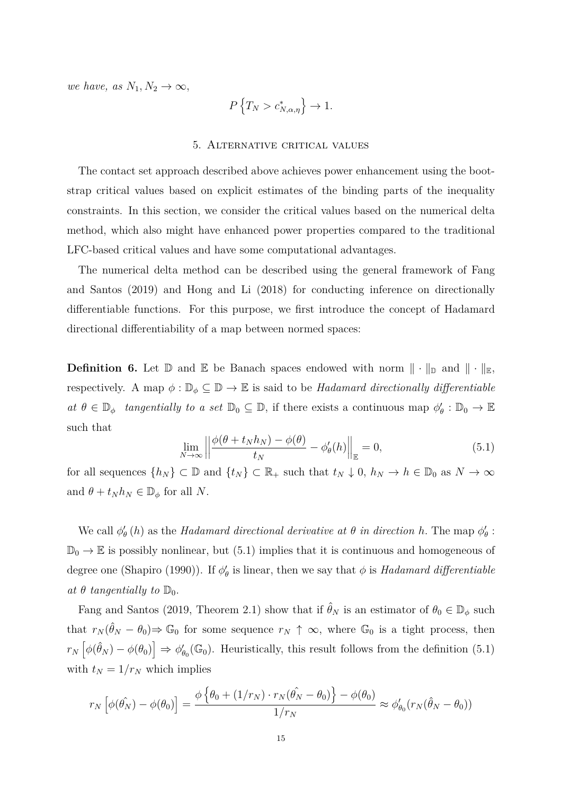*we have, as*  $N_1, N_2 \to \infty$ ,

$$
P\left\{T_N > c^*_{N,\alpha,\eta}\right\} \to 1.
$$

#### 5. Alternative critical values

The contact set approach described above achieves power enhancement using the bootstrap critical values based on explicit estimates of the binding parts of the inequality constraints. In this section, we consider the critical values based on the numerical delta method, which also might have enhanced power properties compared to the traditional LFC-based critical values and have some computational advantages.

The numerical delta method can be described using the general framework of Fang and Santos (2019) and Hong and Li (2018) for conducting inference on directionally differentiable functions. For this purpose, we first introduce the concept of Hadamard directional differentiability of a map between normed spaces:

**Definition 6.** Let  $\mathbb{D}$  and  $\mathbb{E}$  be Banach spaces endowed with norm  $\|\cdot\|_{\mathbb{D}}$  and  $\|\cdot\|_{\mathbb{E}}$ , respectively. A map  $\phi : \mathbb{D}_{\phi} \subseteq \mathbb{D} \to \mathbb{E}$  is said to be *Hadamard directionally differentiable*  $a \in \mathbb{D}_{\phi}$  *tangentially to a set*  $\mathbb{D}_{0} \subseteq \mathbb{D}$ , if there exists a continuous map  $\phi'_{\theta} : \mathbb{D}_{0} \to \mathbb{E}_{0}$ such that

$$
\lim_{N \to \infty} \left\| \frac{\phi(\theta + t_N h_N) - \phi(\theta)}{t_N} - \phi'_{\theta}(h) \right\|_{\mathbb{E}} = 0,
$$
\n(5.1)

for all sequences  $\{h_N\} \subset \mathbb{D}$  and  $\{t_N\} \subset \mathbb{R}_+$  such that  $t_N \downarrow 0$ ,  $h_N \to h \in \mathbb{D}_0$  as  $N \to \infty$ and  $\theta + t_N h_N \in \mathbb{D}_{\phi}$  for all *N*.

We call  $\phi'_{\theta}(h)$  as the *Hadamard directional derivative at*  $\theta$  *in direction*  $h$ . The map  $\phi'_{\theta}$ :  $\mathbb{D}_0 \to \mathbb{E}$  is possibly nonlinear, but (5.1) implies that it is continuous and homogeneous of degree one (Shapiro (1990)). If  $\phi'_{\theta}$  is linear, then we say that  $\phi$  is *Hadamard differentiable at*  $\theta$  *tangentially to*  $\mathbb{D}_0$ *.* 

Fang and Santos (2019, Theorem 2.1) show that if  $\hat{\theta}_N$  is an estimator of  $\theta_0 \in \mathbb{D}_{\phi}$  such that  $r_N(\hat{\theta}_N - \theta_0) \Rightarrow \mathbb{G}_0$  for some sequence  $r_N \uparrow \infty$ , where  $\mathbb{G}_0$  is a tight process, then  $r_N\left[\phi(\hat{\theta}_N) - \phi(\theta_0)\right] \Rightarrow \phi'_{\theta_0}(\mathbb{G}_0)$ . Heuristically, this result follows from the definition (5.1) with  $t_N = 1/r_N$  which implies

$$
r_N\left[\phi(\hat{\theta_N}) - \phi(\theta_0)\right] = \frac{\phi\left\{\theta_0 + (1/r_N) \cdot r_N(\hat{\theta_N} - \theta_0)\right\} - \phi(\theta_0)}{1/r_N} \approx \phi_{\theta_0}'(r_N(\hat{\theta_N} - \theta_0))
$$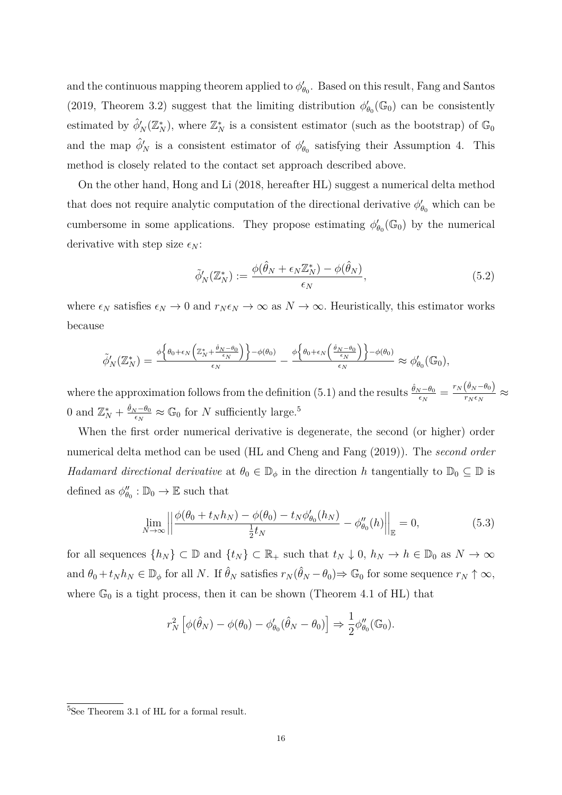and the continuous mapping theorem applied to  $\phi'_{\theta_0}$ . Based on this result, Fang and Santos (2019, Theorem 3.2) suggest that the limiting distribution  $\phi'_{\theta_0}(\mathbb{G}_0)$  can be consistently estimated by  $\hat{\phi}'_N(\mathbb{Z}_N^*)$ , where  $\mathbb{Z}_N^*$  is a consistent estimator (such as the bootstrap) of  $\mathbb{G}_0$ and the map  $\hat{\phi}'_N$  is a consistent estimator of  $\phi'_{\theta_0}$  satisfying their Assumption 4. This method is closely related to the contact set approach described above.

On the other hand, Hong and Li (2018, hereafter HL) suggest a numerical delta method that does not require analytic computation of the directional derivative  $\phi'_{\theta_0}$  which can be cumbersome in some applications. They propose estimating  $\phi'_{\theta_0}(\mathbb{G}_0)$  by the numerical derivative with step size  $\epsilon_N$ :

$$
\tilde{\phi}'_N(\mathbb{Z}_N^*) := \frac{\phi(\hat{\theta}_N + \epsilon_N \mathbb{Z}_N^*) - \phi(\hat{\theta}_N)}{\epsilon_N},\tag{5.2}
$$

where  $\epsilon_N$  satisfies  $\epsilon_N \to 0$  and  $r_N \epsilon_N \to \infty$  as  $N \to \infty$ . Heuristically, this estimator works because

$$
\widetilde{\phi}'_{N}(\mathbb{Z}_{N}^{*}) = \frac{\phi\left\{\theta_{0}+\epsilon_{N}\left(\mathbb{Z}_{N}^{*}+\frac{\hat{\theta}_{N}-\theta_{0}}{\epsilon_{N}}\right)\right\}-\phi(\theta_{0})}{\epsilon_{N}} - \frac{\phi\left\{\theta_{0}+\epsilon_{N}\left(\frac{\hat{\theta}_{N}-\theta_{0}}{\epsilon_{N}}\right)\right\}-\phi(\theta_{0})}{\epsilon_{N}} \approx \phi'_{\theta_{0}}(\mathbb{G}_{0}),
$$

where the approximation follows from the definition (5.1) and the results  $\frac{\hat{\theta}_N - \theta_0}{\epsilon_N} = \frac{r_N(\hat{\theta}_N - \theta_0)}{r_N \epsilon_N}$  $\frac{(v_N - v_0)}{r_N \epsilon_N} \approx$ 0 and  $\mathbb{Z}_N^* + \frac{\hat{\theta}_N - \theta_0}{\epsilon_N}$  $\frac{N-\theta_0}{\epsilon_N} \approx \mathbb{G}_0$  for *N* sufficiently large.<sup>5</sup>

When the first order numerical derivative is degenerate, the second (or higher) order numerical delta method can be used (HL and Cheng and Fang (2019)). The *second order Hadamard directional derivative* at  $\theta_0 \in \mathbb{D}_{\phi}$  in the direction *h* tangentially to  $\mathbb{D}_0 \subseteq \mathbb{D}$  is defined as  $\phi_{\theta_0}'' : \mathbb{D}_0 \to \mathbb{E}$  such that

$$
\lim_{N \to \infty} \left| \left| \frac{\phi(\theta_0 + t_N h_N) - \phi(\theta_0) - t_N \phi_{\theta_0}'(h_N)}{\frac{1}{2} t_N} - \phi_{\theta_0}''(h) \right| \right|_{\mathbb{E}} = 0, \tag{5.3}
$$

for all sequences  $\{h_N\} \subset \mathbb{D}$  and  $\{t_N\} \subset \mathbb{R}_+$  such that  $t_N \downarrow 0$ ,  $h_N \to h \in \mathbb{D}_0$  as  $N \to \infty$ and  $\theta_0 + t_N h_N \in \mathbb{D}_{\phi}$  for all *N*. If  $\hat{\theta}_N$  satisfies  $r_N(\hat{\theta}_N - \theta_0) \Rightarrow \mathbb{G}_0$  for some sequence  $r_N \uparrow \infty$ , where  $\mathbb{G}_0$  is a tight process, then it can be shown (Theorem 4.1 of HL) that

$$
r_N^2 \left[ \phi(\hat{\theta}_N) - \phi(\theta_0) - \phi'_{\theta_0}(\hat{\theta}_N - \theta_0) \right] \Rightarrow \frac{1}{2} \phi''_{\theta_0}(\mathbb{G}_0).
$$

<sup>5</sup>See Theorem 3.1 of HL for a formal result.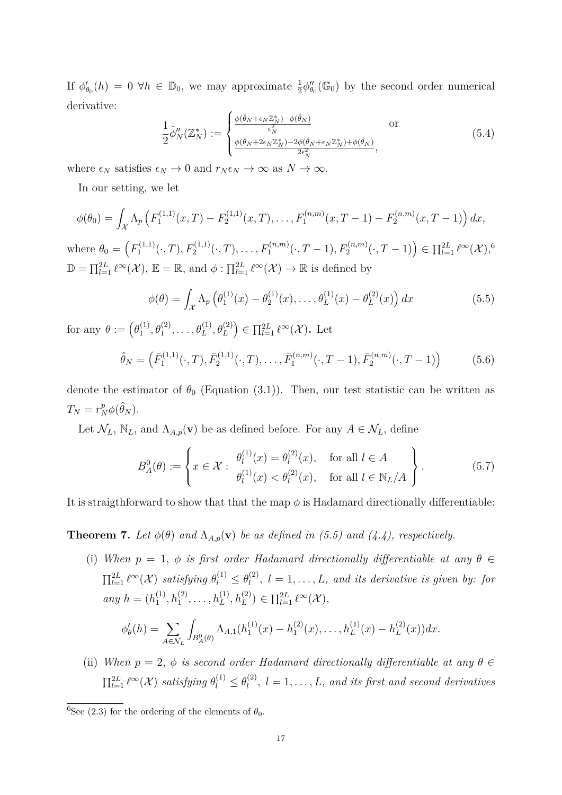If  $\phi'_{\theta_0}(h) = 0 \ \forall h \in \mathbb{D}_0$ , we may approximate  $\frac{1}{2}\phi''_{\theta_0}(\mathbb{G}_0)$  by the second order numerical derivative:

$$
\frac{1}{2}\tilde{\phi}_N''(\mathbb{Z}_N^*) := \begin{cases} \frac{\phi(\hat{\theta}_N + \epsilon_N \mathbb{Z}_N^*) - \phi(\hat{\theta}_N)}{\epsilon_N^2} & \text{or} \\ \frac{\phi(\hat{\theta}_N + 2\epsilon_N \mathbb{Z}_N^*) - 2\phi(\hat{\theta}_N + \epsilon_N \mathbb{Z}_N^*) + \phi(\hat{\theta}_N)}{2\epsilon_N^2}, \end{cases}
$$
(5.4)

where  $\epsilon_N$  satisfies  $\epsilon_N \to 0$  and  $r_N \epsilon_N \to \infty$  as  $N \to \infty$ .

In our setting, we let

$$
\phi(\theta_0) = \int_{\mathcal{X}} \Lambda_p \left( F_1^{(1,1)}(x,T) - F_2^{(1,1)}(x,T), \ldots, F_1^{(n,m)}(x,T-1) - F_2^{(n,m)}(x,T-1) \right) dx,
$$

where  $\theta_0 = \left( F_1^{(1,1)} \right)$  $F_1^{(1,1)}(.,T), F_2^{(1,1)}(.,T), \ldots, F_1^{(n,m)}(.,T-1), F_2^{(n,m)}(.,T-1) \Big) \in \prod_{l=1}^{2L} \ell^{\infty}(\mathcal{X}),^6$  $\mathbb{D} = \prod_{l=1}^{2L} \ell^{\infty}(\mathcal{X}), \mathbb{E} = \mathbb{R}, \text{ and } \phi : \prod_{l=1}^{2L} \ell^{\infty}(\mathcal{X}) \to \mathbb{R}$  is defined by

$$
\phi(\theta) = \int_{\mathcal{X}} \Lambda_p \left( \theta_1^{(1)}(x) - \theta_2^{(1)}(x), \dots, \theta_L^{(1)}(x) - \theta_L^{(2)}(x) \right) dx \tag{5.5}
$$

for any  $\theta := (\theta_1^{(1)})$  $\theta_1^{(1)}, \theta_1^{(2)}, \ldots, \theta_L^{(1)}, \theta_L^{(2)}$   $\in \prod_{l=1}^{2L} \ell^{\infty}(\mathcal{X})$ . Let

$$
\hat{\theta}_N = \left(\bar{F}_1^{(1,1)}(\cdot,T), \bar{F}_2^{(1,1)}(\cdot,T), \dots, \bar{F}_1^{(n,m)}(\cdot,T-1), \bar{F}_2^{(n,m)}(\cdot,T-1)\right) \tag{5.6}
$$

denote the estimator of  $\theta_0$  (Equation (3.1)). Then, our test statistic can be written as  $T_N = r_N^p \phi(\hat{\theta}_N)$ .

Let  $\mathcal{N}_L$ ,  $\mathbb{N}_L$ , and  $\Lambda_{A,p}(\mathbf{v})$  be as defined before. For any  $A \in \mathcal{N}_L$ , define

$$
B_A^0(\theta) := \left\{ x \in \mathcal{X} : \begin{array}{l} \theta_l^{(1)}(x) = \theta_l^{(2)}(x), & \text{for all } l \in A \\ \theta_l^{(1)}(x) < \theta_l^{(2)}(x), & \text{for all } l \in \mathbb{N}_L/A \end{array} \right\}.
$$
 (5.7)

It is straigthforward to show that that the map  $\phi$  is Hadamard directionally differentiable:

**Theorem 7.** *Let*  $\phi(\theta)$  *and*  $\Lambda_{A,p}(\mathbf{v})$  *be as defined in* (5.5) *and* (4.4), respectively.

(i) *When*  $p = 1$ ,  $\phi$  *is first order Hadamard directionally differentiable at any*  $\theta \in$  $\prod_{l=1}^{2L} \ell^{\infty}(\mathcal{X})$  *satisfying*  $\theta_l^{(1)} \leq \theta_l^{(2)}$  $l_l^{(2)}$ ,  $l = 1, \ldots, L$ , and its derivative is given by: for *any*  $h = (h_1^{(1)})$  $h_1^{(1)}, h_1^{(2)}, \ldots, h_L^{(1)}, h_L^{(2)}) \in \prod_{l=1}^{2L} \ell^{\infty}(\mathcal{X}),$ 

$$
\phi'_{\theta}(h) = \sum_{A \in \mathcal{N}_L} \int_{B^0_A(\theta)} \Lambda_{A,1}(h_1^{(1)}(x) - h_1^{(2)}(x), \dots, h_L^{(1)}(x) - h_L^{(2)}(x)) dx.
$$

(ii) *When*  $p = 2$ ,  $\phi$  *is second order Hadamard directionally differentiable at any*  $\theta \in$  $\prod_{l=1}^{2L} \ell^{\infty}(\mathcal{X})$  *satisfying*  $\theta_l^{(1)} \leq \theta_l^{(2)}$  $l_l^{(2)}$ ,  $l = 1, \ldots, L$ *, and its first and second derivatives* 

<sup>&</sup>lt;sup>6</sup>See (2.3) for the ordering of the elements of  $\theta_0$ .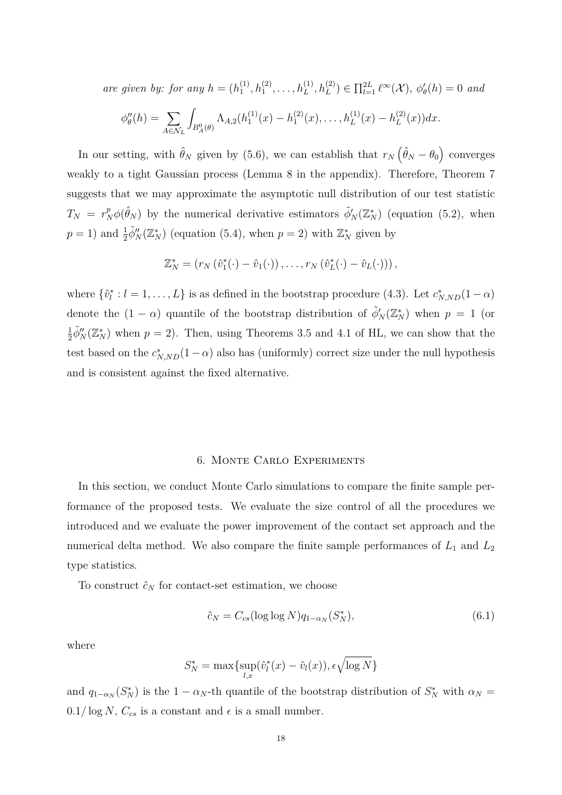*are given by: for any*  $h = (h_1^{(1)})$  $\prod_{1}^{(1)}, h_{1}^{(2)}, \ldots, h_{L}^{(1)}, h_{L}^{(2)}$ )  $\in \prod_{l=1}^{2L} \ell^{\infty}(\mathcal{X}), \phi'_{\theta}(h) = 0$  and

$$
\phi''_{\theta}(h) = \sum_{A \in \mathcal{N}_L} \int_{B^0_A(\theta)} \Lambda_{A,2}(h_1^{(1)}(x) - h_1^{(2)}(x), \dots, h_L^{(1)}(x) - h_L^{(2)}(x)) dx.
$$

In our setting, with  $\hat{\theta}_N$  given by (5.6), we can establish that  $r_N(\hat{\theta}_N - \theta_0)$  converges weakly to a tight Gaussian process (Lemma 8 in the appendix). Therefore, Theorem 7 suggests that we may approximate the asymptotic null distribution of our test statistic  $T_N = r_N^p \phi(\hat{\theta}_N)$  by the numerical derivative estimators  $\tilde{\phi}'_N(\mathbb{Z}_N^*)$  (equation (5.2), when  $p = 1$ ) and  $\frac{1}{2}\tilde{\phi}''_N(\mathbb{Z}_N^*)$  (equation (5.4), when  $p = 2$ ) with  $\mathbb{Z}_N^*$  given by

$$
\mathbb{Z}_N^* = (r_N(\hat{v}_1^*(\cdot) - \hat{v}_1(\cdot)), \dots, r_N(\hat{v}_L^*(\cdot) - \hat{v}_L(\cdot)))
$$

where  $\{\hat{v}_l^*: l = 1, \ldots, L\}$  is as defined in the bootstrap procedure (4.3). Let  $c^*_{N,ND}(1-\alpha)$ denote the  $(1 - \alpha)$  quantile of the bootstrap distribution of  $\tilde{\phi}'_N(\mathbb{Z}_N^*)$  when  $p = 1$  (or 1  $\frac{1}{2}\tilde{\phi}''_N(\mathbb{Z}_N^*)$  when  $p=2$ ). Then, using Theorems 3.5 and 4.1 of HL, we can show that the test based on the  $c_{N,ND}^*(1-\alpha)$  also has (uniformly) correct size under the null hypothesis and is consistent against the fixed alternative.

#### 6. Monte Carlo Experiments

In this section, we conduct Monte Carlo simulations to compare the finite sample performance of the proposed tests. We evaluate the size control of all the procedures we introduced and we evaluate the power improvement of the contact set approach and the numerical delta method. We also compare the finite sample performances of  $L_1$  and  $L_2$ type statistics.

To construct  $\hat{c}_N$  for contact-set estimation, we choose

$$
\hat{c}_N = C_{cs}(\log \log N) q_{1-\alpha_N}(S_N^*),\tag{6.1}
$$

where

$$
S_N^* = \max\{\sup_{l,x}(\hat{v}_l^*(x) - \hat{v}_l(x)), \epsilon \sqrt{\log N}\}\
$$

and  $q_{1-\alpha_N}(S_N^*)$  is the 1 −  $\alpha_N$ -th quantile of the bootstrap distribution of  $S_N^*$  with  $\alpha_N =$  $0.1/\log N$ ,  $C_{cs}$  is a constant and  $\epsilon$  is a small number.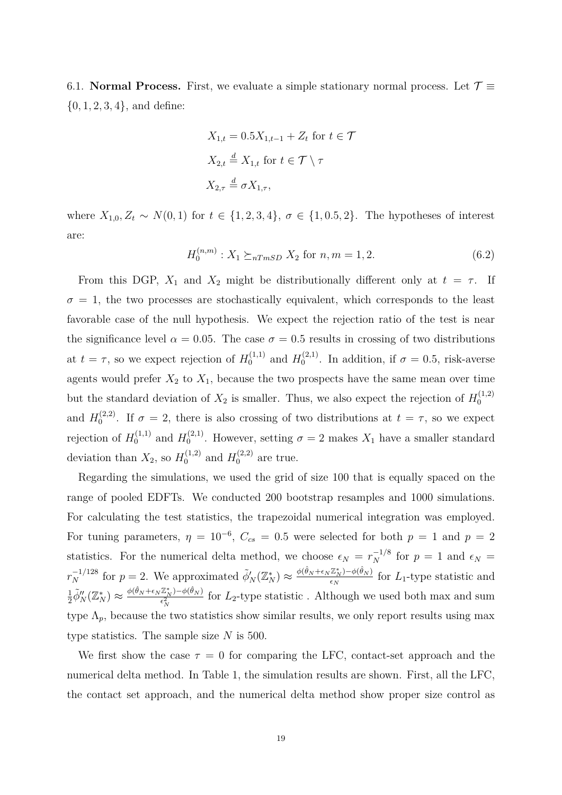6.1. **Normal Process.** First, we evaluate a simple stationary normal process. Let  $\mathcal{T} \equiv$ {0*,* 1*,* 2*,* 3*,* 4}, and define:

$$
X_{1,t} = 0.5X_{1,t-1} + Z_t \text{ for } t \in \mathcal{T}
$$
  

$$
X_{2,t} \stackrel{d}{=} X_{1,t} \text{ for } t \in \mathcal{T} \setminus \tau
$$
  

$$
X_{2,\tau} \stackrel{d}{=} \sigma X_{1,\tau},
$$

where  $X_{1,0}, Z_t$  ∼  $N(0,1)$  for  $t \in \{1,2,3,4\}, \sigma \in \{1,0.5,2\}.$  The hypotheses of interest are:

$$
H_0^{(n,m)}: X_1 \succeq_{nTmSD} X_2 \text{ for } n, m = 1, 2. \tag{6.2}
$$

From this DGP,  $X_1$  and  $X_2$  might be distributionally different only at  $t = \tau$ . If  $\sigma = 1$ , the two processes are stochastically equivalent, which corresponds to the least favorable case of the null hypothesis. We expect the rejection ratio of the test is near the significance level  $\alpha = 0.05$ . The case  $\sigma = 0.5$  results in crossing of two distributions at  $t = \tau$ , so we expect rejection of  $H_0^{(1,1)}$  and  $H_0^{(2,1)}$  $\int_0^{(2,1)}$ . In addition, if  $\sigma = 0.5$ , risk-averse agents would prefer  $X_2$  to  $X_1$ , because the two prospects have the same mean over time but the standard deviation of  $X_2$  is smaller. Thus, we also expect the rejection of  $H_0^{(1,2)}$ 0 and  $H_0^{(2,2)}$  $0^{(2,2)}$ . If  $\sigma = 2$ , there is also crossing of two distributions at  $t = \tau$ , so we expect rejection of  $H_0^{(1,1)}$  and  $H_0^{(2,1)}$  $\sigma_0^{(2,1)}$ . However, setting  $\sigma = 2$  makes  $X_1$  have a smaller standard deviation than  $X_2$ , so  $H_0^{(1,2)}$  and  $H_0^{(2,2)}$  are true.

Regarding the simulations, we used the grid of size 100 that is equally spaced on the range of pooled EDFTs. We conducted 200 bootstrap resamples and 1000 simulations. For calculating the test statistics, the trapezoidal numerical integration was employed. For tuning parameters,  $\eta = 10^{-6}$ ,  $C_{cs} = 0.5$  were selected for both  $p = 1$  and  $p = 2$ statistics. For the numerical delta method, we choose  $\epsilon_N = r_N^{-1/8}$  for  $p = 1$  and  $\epsilon_N =$  $r_N^{-1/128}$  for  $p = 2$ . We approximated  $\tilde{\phi}'_N(\mathbb{Z}_N^*) \approx \frac{\phi(\hat{\theta}_N + \epsilon_N \mathbb{Z}_N^*) - \phi(\hat{\theta}_N)}{\epsilon_N}$  $\frac{Z_{N} - \varphi(\sigma_{N})}{\epsilon_{N}}$  for  $L_{1}$ -type statistic and 1  $\frac{1}{2}\tilde{\phi}''_N(\mathbb{Z}_N^*)\approx \frac{\phi(\hat{\theta}_N+\epsilon_N\mathbb{Z}_N^*)-\phi(\hat{\theta}_N)}{\epsilon_N^2}$  $\frac{Z_N}{\epsilon_N^2}$  for  $L_2$ -type statistic . Although we used both max and sum type  $\Lambda_p$ , because the two statistics show similar results, we only report results using max type statistics. The sample size *N* is 500.

We first show the case  $\tau = 0$  for comparing the LFC, contact-set approach and the numerical delta method. In Table 1, the simulation results are shown. First, all the LFC, the contact set approach, and the numerical delta method show proper size control as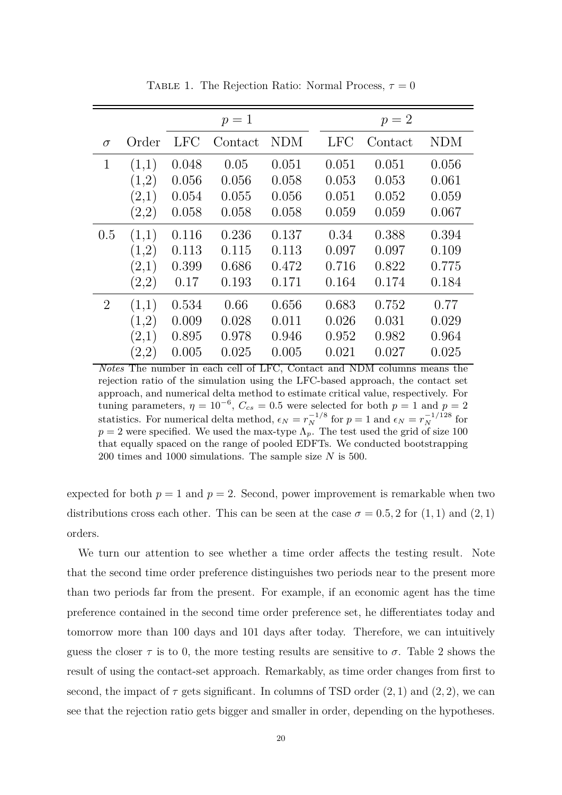|                |       |            | $p=1$   |            | $p=2$      |         |            |  |  |
|----------------|-------|------------|---------|------------|------------|---------|------------|--|--|
| $\sigma$       | Order | <b>LFC</b> | Contact | <b>NDM</b> | <b>LFC</b> | Contact | <b>NDM</b> |  |  |
| $\mathbf{1}$   | (1,1) | 0.048      | 0.05    | 0.051      | 0.051      | 0.051   | 0.056      |  |  |
|                | (1,2) | 0.056      | 0.056   | 0.058      | 0.053      | 0.053   | 0.061      |  |  |
|                | (2,1) | 0.054      | 0.055   | 0.056      | 0.051      | 0.052   | 0.059      |  |  |
|                | (2,2) | 0.058      | 0.058   | 0.058      | 0.059      | 0.059   | 0.067      |  |  |
| 0.5            | (1,1) | 0.116      | 0.236   | 0.137      | 0.34       | 0.388   | 0.394      |  |  |
|                | (1,2) | 0.113      | 0.115   | 0.113      | 0.097      | 0.097   | 0.109      |  |  |
|                | (2,1) | 0.399      | 0.686   | 0.472      | 0.716      | 0.822   | 0.775      |  |  |
|                | (2,2) | 0.17       | 0.193   | 0.171      | 0.164      | 0.174   | 0.184      |  |  |
| $\overline{2}$ | (1,1) | 0.534      | 0.66    | 0.656      | 0.683      | 0.752   | 0.77       |  |  |
|                | (1,2) | 0.009      | 0.028   | 0.011      | 0.026      | 0.031   | 0.029      |  |  |
|                | (2,1) | 0.895      | 0.978   | 0.946      | 0.952      | 0.982   | 0.964      |  |  |
|                | (2,2) | 0.005      | 0.025   | 0.005      | 0.021      | 0.027   | 0.025      |  |  |

TABLE 1. The Rejection Ratio: Normal Process,  $\tau = 0$ 

*Notes* The number in each cell of LFC, Contact and NDM columns means the rejection ratio of the simulation using the LFC-based approach, the contact set approach, and numerical delta method to estimate critical value, respectively. For tuning parameters,  $\eta = 10^{-6}$ ,  $C_{cs} = 0.5$  were selected for both  $p = 1$  and  $p = 2$ statistics. For numerical delta method,  $\epsilon_N = r_N^{-1/8}$  for  $p = 1$  and  $\epsilon_N = r_N^{-1/128}$  for  $p = 2$  were specified. We used the max-type  $\Lambda_p$ . The test used the grid of size 100 that equally spaced on the range of pooled EDFTs. We conducted bootstrapping 200 times and 1000 simulations. The sample size *N* is 500.

expected for both  $p = 1$  and  $p = 2$ . Second, power improvement is remarkable when two distributions cross each other. This can be seen at the case  $\sigma = 0.5, 2$  for  $(1, 1)$  and  $(2, 1)$ orders.

We turn our attention to see whether a time order affects the testing result. Note that the second time order preference distinguishes two periods near to the present more than two periods far from the present. For example, if an economic agent has the time preference contained in the second time order preference set, he differentiates today and tomorrow more than 100 days and 101 days after today. Therefore, we can intuitively guess the closer  $\tau$  is to 0, the more testing results are sensitive to  $\sigma$ . Table 2 shows the result of using the contact-set approach. Remarkably, as time order changes from first to second, the impact of  $\tau$  gets significant. In columns of TSD order  $(2, 1)$  and  $(2, 2)$ , we can see that the rejection ratio gets bigger and smaller in order, depending on the hypotheses.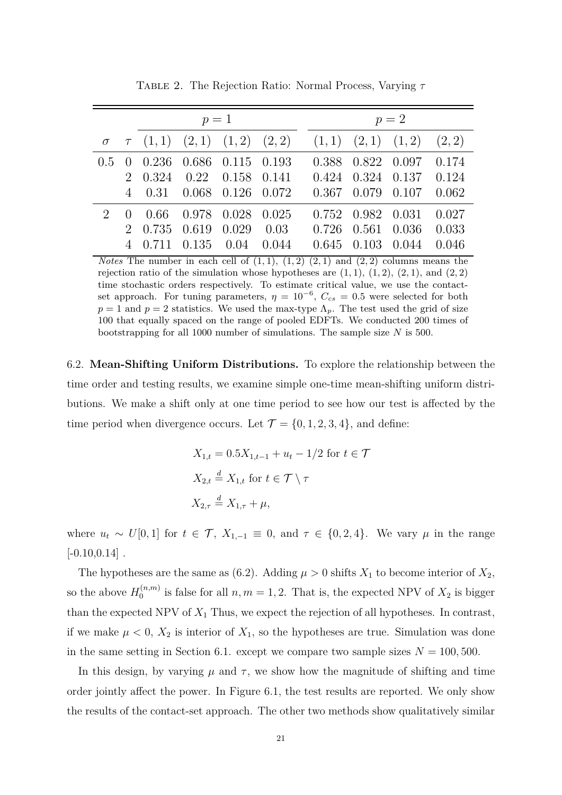|                        |                                                               | $p=1$ |  | $p=2$ |  |                                                                         |  |  |  |  |
|------------------------|---------------------------------------------------------------|-------|--|-------|--|-------------------------------------------------------------------------|--|--|--|--|
|                        |                                                               |       |  |       |  | $\sigma$ $\tau$ (1, 1) (2, 1) (1, 2) (2, 2) (1, 1) (2, 1) (1, 2) (2, 2) |  |  |  |  |
|                        | $0.5 \quad 0 \quad 0.236 \quad 0.686 \quad 0.115 \quad 0.193$ |       |  |       |  | 0.388 0.822 0.097 0.174                                                 |  |  |  |  |
|                        |                                                               |       |  |       |  | 2 0.324 0.22 0.158 0.141 0.424 0.324 0.137 0.124                        |  |  |  |  |
|                        | 4 0.31 0.068 0.126 0.072                                      |       |  |       |  | $0.367$ $0.079$ $0.107$ $0.062$                                         |  |  |  |  |
| $\mathcal{D}_{\alpha}$ | 0 0.66 0.978 0.028 0.025                                      |       |  |       |  | $0.752$ $0.982$ $0.031$ $0.027$                                         |  |  |  |  |
|                        | 2 0.735 0.619 0.029 0.03                                      |       |  |       |  | $0.726$ $0.561$ $0.036$ $0.033$                                         |  |  |  |  |
|                        | 4 0.711 0.135 0.04 0.044                                      |       |  |       |  | $0.645$ $0.103$ $0.044$ $0.046$                                         |  |  |  |  |

Table 2. The Rejection Ratio: Normal Process, Varying *τ*

*Notes* The number in each cell of  $(1,1)$ ,  $(1,2)$   $(2,1)$  and  $(2,2)$  columns means the rejection ratio of the simulation whose hypotheses are  $(1, 1), (1, 2), (2, 1),$  and  $(2, 2)$ time stochastic orders respectively. To estimate critical value, we use the contactset approach. For tuning parameters,  $\eta = 10^{-6}$ ,  $C_{cs} = 0.5$  were selected for both  $p = 1$  and  $p = 2$  statistics. We used the max-type  $\Lambda_p$ . The test used the grid of size 100 that equally spaced on the range of pooled EDFTs. We conducted 200 times of bootstrapping for all 1000 number of simulations. The sample size *N* is 500.

6.2. **Mean-Shifting Uniform Distributions.** To explore the relationship between the time order and testing results, we examine simple one-time mean-shifting uniform distributions. We make a shift only at one time period to see how our test is affected by the time period when divergence occurs. Let  $\mathcal{T} = \{0, 1, 2, 3, 4\}$ , and define:

$$
X_{1,t} = 0.5X_{1,t-1} + u_t - 1/2 \text{ for } t \in \mathcal{T}
$$
  

$$
X_{2,t} \stackrel{d}{=} X_{1,t} \text{ for } t \in \mathcal{T} \setminus \tau
$$
  

$$
X_{2,\tau} \stackrel{d}{=} X_{1,\tau} + \mu,
$$

where  $u_t \sim U[0,1]$  for  $t \in \mathcal{T}$ ,  $X_{1,-1} \equiv 0$ , and  $\tau \in \{0,2,4\}$ . We vary  $\mu$  in the range  $[-0.10, 0.14]$ .

The hypotheses are the same as (6.2). Adding  $\mu > 0$  shifts  $X_1$  to become interior of  $X_2$ , so the above  $H_0^{(n,m)}$  $\sum_{0}^{(n,m)}$  is false for all  $n, m = 1, 2$ . That is, the expected NPV of  $X_2$  is bigger than the expected NPV of  $X_1$  Thus, we expect the rejection of all hypotheses. In contrast, if we make  $\mu < 0$ ,  $X_2$  is interior of  $X_1$ , so the hypotheses are true. Simulation was done in the same setting in Section 6.1. except we compare two sample sizes  $N = 100, 500$ .

In this design, by varying  $\mu$  and  $\tau$ , we show how the magnitude of shifting and time order jointly affect the power. In Figure 6.1, the test results are reported. We only show the results of the contact-set approach. The other two methods show qualitatively similar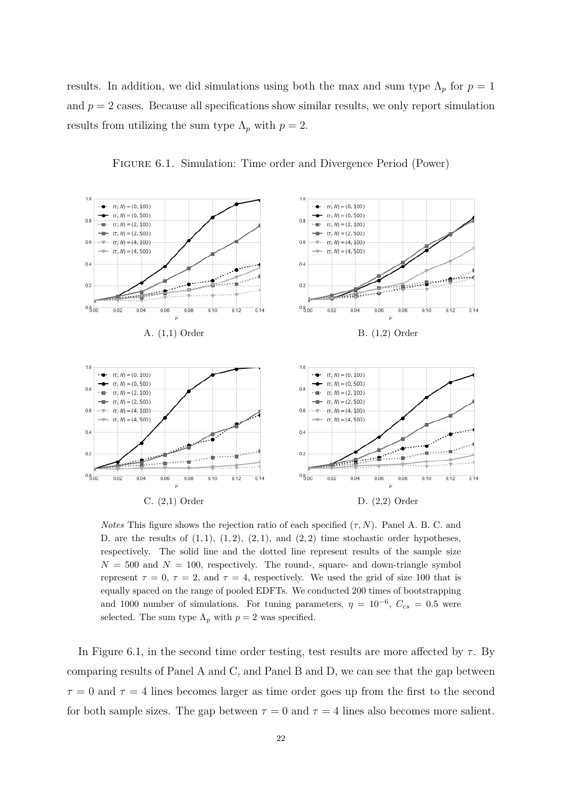results. In addition, we did simulations using both the max and sum type  $\Lambda_p$  for  $p=1$ and  $p = 2$  cases. Because all specifications show similar results, we only report simulation results from utilizing the sum type  $\Lambda_p$  with  $p=2$ .



Figure 6.1. Simulation: Time order and Divergence Period (Power)

*Notes* This figure shows the rejection ratio of each specified  $(\tau, N)$ . Panel A. B. C. and D. are the results of  $(1,1)$ ,  $(1,2)$ ,  $(2,1)$ , and  $(2,2)$  time stochastic order hypotheses, respectively. The solid line and the dotted line represent results of the sample size  $N = 500$  and  $N = 100$ , respectively. The round-, square- and down-triangle symbol represent  $\tau = 0$ ,  $\tau = 2$ , and  $\tau = 4$ , respectively. We used the grid of size 100 that is equally spaced on the range of pooled EDFTs. We conducted 200 times of bootstrapping and 1000 number of simulations. For tuning parameters,  $\eta = 10^{-6}$ ,  $C_{cs} = 0.5$  were selected. The sum type  $\Lambda_p$  with  $p=2$  was specified.

In Figure 6.1, in the second time order testing, test results are more affected by  $\tau$ . By comparing results of Panel A and C, and Panel B and D, we can see that the gap between  $\tau = 0$  and  $\tau = 4$  lines becomes larger as time order goes up from the first to the second for both sample sizes. The gap between  $\tau = 0$  and  $\tau = 4$  lines also becomes more salient.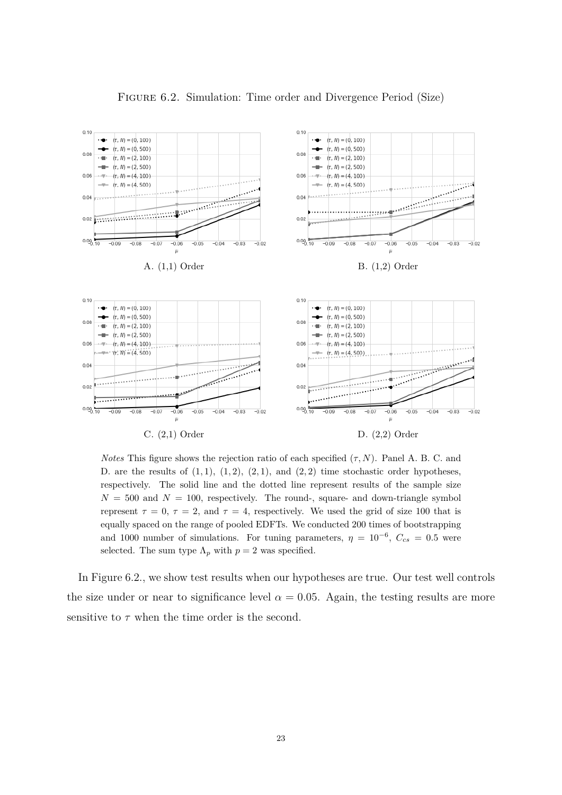

Figure 6.2. Simulation: Time order and Divergence Period (Size)

*Notes* This figure shows the rejection ratio of each specified  $(\tau, N)$ . Panel A. B. C. and D. are the results of  $(1,1)$ ,  $(1,2)$ ,  $(2,1)$ , and  $(2,2)$  time stochastic order hypotheses, respectively. The solid line and the dotted line represent results of the sample size  $N = 500$  and  $N = 100$ , respectively. The round-, square- and down-triangle symbol represent  $\tau = 0$ ,  $\tau = 2$ , and  $\tau = 4$ , respectively. We used the grid of size 100 that is equally spaced on the range of pooled EDFTs. We conducted 200 times of bootstrapping and 1000 number of simulations. For tuning parameters,  $\eta = 10^{-6}$ ,  $C_{cs} = 0.5$  were selected. The sum type  $\Lambda_p$  with  $p=2$  was specified.

In Figure 6.2., we show test results when our hypotheses are true. Our test well controls the size under or near to significance level  $\alpha = 0.05$ . Again, the testing results are more sensitive to  $\tau$  when the time order is the second.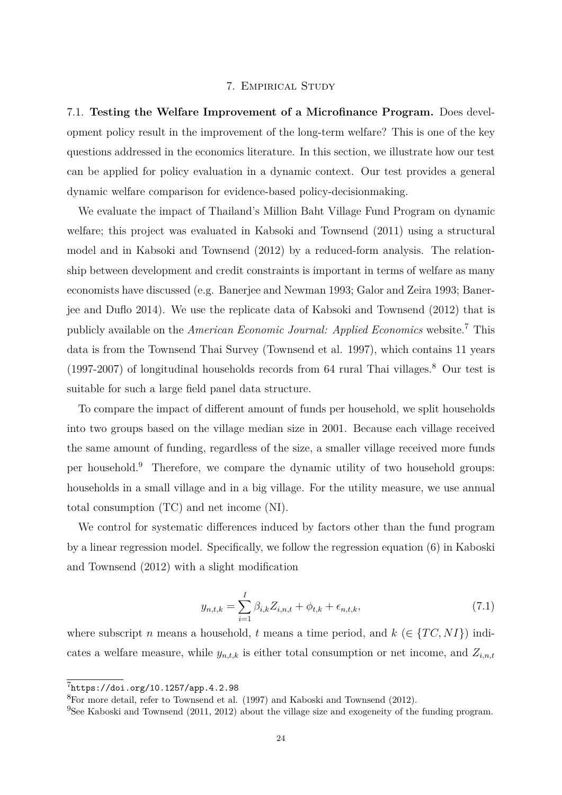#### 7. Empirical Study

7.1. **Testing the Welfare Improvement of a Microfinance Program.** Does development policy result in the improvement of the long-term welfare? This is one of the key questions addressed in the economics literature. In this section, we illustrate how our test can be applied for policy evaluation in a dynamic context. Our test provides a general dynamic welfare comparison for evidence-based policy-decisionmaking.

We evaluate the impact of Thailand's Million Baht Village Fund Program on dynamic welfare; this project was evaluated in Kabsoki and Townsend (2011) using a structural model and in Kabsoki and Townsend (2012) by a reduced-form analysis. The relationship between development and credit constraints is important in terms of welfare as many economists have discussed (e.g. Banerjee and Newman 1993; Galor and Zeira 1993; Banerjee and Duflo 2014). We use the replicate data of Kabsoki and Townsend (2012) that is publicly available on the *American Economic Journal: Applied Economics* website.<sup>7</sup> This data is from the Townsend Thai Survey (Townsend et al. 1997), which contains 11 years (1997-2007) of longitudinal households records from 64 rural Thai villages.<sup>8</sup> Our test is suitable for such a large field panel data structure.

To compare the impact of different amount of funds per household, we split households into two groups based on the village median size in 2001. Because each village received the same amount of funding, regardless of the size, a smaller village received more funds per household.<sup>9</sup> Therefore, we compare the dynamic utility of two household groups: households in a small village and in a big village. For the utility measure, we use annual total consumption (TC) and net income (NI).

We control for systematic differences induced by factors other than the fund program by a linear regression model. Specifically, we follow the regression equation (6) in Kaboski and Townsend (2012) with a slight modification

$$
y_{n,t,k} = \sum_{i=1}^{I} \beta_{i,k} Z_{i,n,t} + \phi_{t,k} + \epsilon_{n,t,k},
$$
\n(7.1)

where subscript *n* means a household, *t* means a time period, and  $k \in \{TC, NI\}$  indicates a welfare measure, while  $y_{n,t,k}$  is either total consumption or net income, and  $Z_{i,n,t}$ 

<sup>7</sup>https://doi.org/10.1257/app.4.2.98

<sup>8</sup>For more detail, refer to Townsend et al. (1997) and Kaboski and Townsend (2012).

 $9$ See Kaboski and Townsend (2011, 2012) about the village size and exogeneity of the funding program.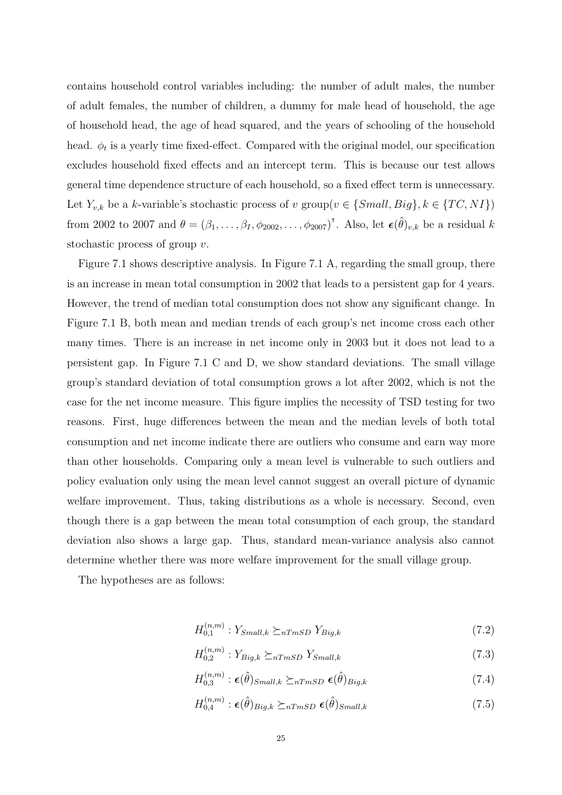contains household control variables including: the number of adult males, the number of adult females, the number of children, a dummy for male head of household, the age of household head, the age of head squared, and the years of schooling of the household head.  $\phi_t$  is a yearly time fixed-effect. Compared with the original model, our specification excludes household fixed effects and an intercept term. This is because our test allows general time dependence structure of each household, so a fixed effect term is unnecessary. Let  $Y_{v,k}$  be a *k*-variable's stochastic process of *v* group $(v \in \{Small, Big\}, k \in \{TC, NI\})$ from 2002 to 2007 and  $\theta = (\beta_1, \ldots, \beta_I, \phi_{2002}, \ldots, \phi_{2007})^{\dagger}$ . Also, let  $\boldsymbol{\epsilon}(\hat{\theta})_{v,k}$  be a residual *k* stochastic process of group *v*.

Figure 7.1 shows descriptive analysis. In Figure 7.1 A, regarding the small group, there is an increase in mean total consumption in 2002 that leads to a persistent gap for 4 years. However, the trend of median total consumption does not show any significant change. In Figure 7.1 B, both mean and median trends of each group's net income cross each other many times. There is an increase in net income only in 2003 but it does not lead to a persistent gap. In Figure 7.1 C and D, we show standard deviations. The small village group's standard deviation of total consumption grows a lot after 2002, which is not the case for the net income measure. This figure implies the necessity of TSD testing for two reasons. First, huge differences between the mean and the median levels of both total consumption and net income indicate there are outliers who consume and earn way more than other households. Comparing only a mean level is vulnerable to such outliers and policy evaluation only using the mean level cannot suggest an overall picture of dynamic welfare improvement. Thus, taking distributions as a whole is necessary. Second, even though there is a gap between the mean total consumption of each group, the standard deviation also shows a large gap. Thus, standard mean-variance analysis also cannot determine whether there was more welfare improvement for the small village group.

The hypotheses are as follows:

$$
H_{0,1}^{(n,m)}: Y_{Small,k} \succeq_{nTmSD} Y_{Big,k} \tag{7.2}
$$

$$
H_{0,2}^{(n,m)}: Y_{Big,k} \succeq_{nTmSD} Y_{Small,k} \tag{7.3}
$$

$$
H_{0,3}^{(n,m)}: \epsilon(\hat{\theta})_{Small,k} \succeq_{nTmSD} \epsilon(\hat{\theta})_{Big,k}
$$
\n(7.4)

$$
H_{0,4}^{(n,m)}: \epsilon(\hat{\theta})_{Big,k} \succeq_{nTmSD} \epsilon(\hat{\theta})_{Small,k} \tag{7.5}
$$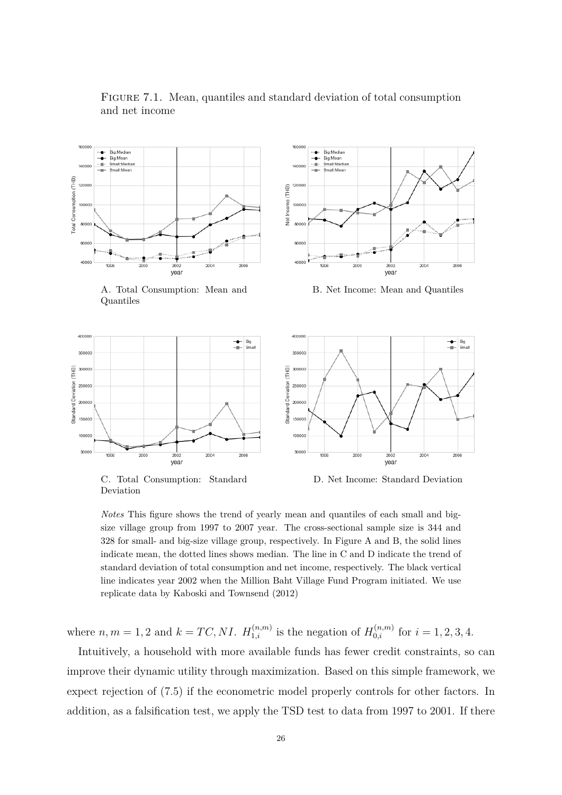

Figure 7.1. Mean, quantiles and standard deviation of total consumption and net income

A. Total Consumption: Mean and Quantiles



B. Net Income: Mean and Quantiles



C. Total Consumption: Standard Deviation

D. Net Income: Standard Deviation

*Notes* This figure shows the trend of yearly mean and quantiles of each small and bigsize village group from 1997 to 2007 year. The cross-sectional sample size is 344 and 328 for small- and big-size village group, respectively. In Figure A and B, the solid lines indicate mean, the dotted lines shows median. The line in C and D indicate the trend of standard deviation of total consumption and net income, respectively. The black vertical line indicates year 2002 when the Million Baht Village Fund Program initiated. We use replicate data by Kaboski and Townsend (2012)

where  $n, m = 1, 2$  and  $k = TC, NI$ .  $H_{1,i}^{(n,m)}$  is the negation of  $H_{0,i}^{(n,m)}$  for  $i = 1, 2, 3, 4$ .

Intuitively, a household with more available funds has fewer credit constraints, so can improve their dynamic utility through maximization. Based on this simple framework, we expect rejection of (7.5) if the econometric model properly controls for other factors. In addition, as a falsification test, we apply the TSD test to data from 1997 to 2001. If there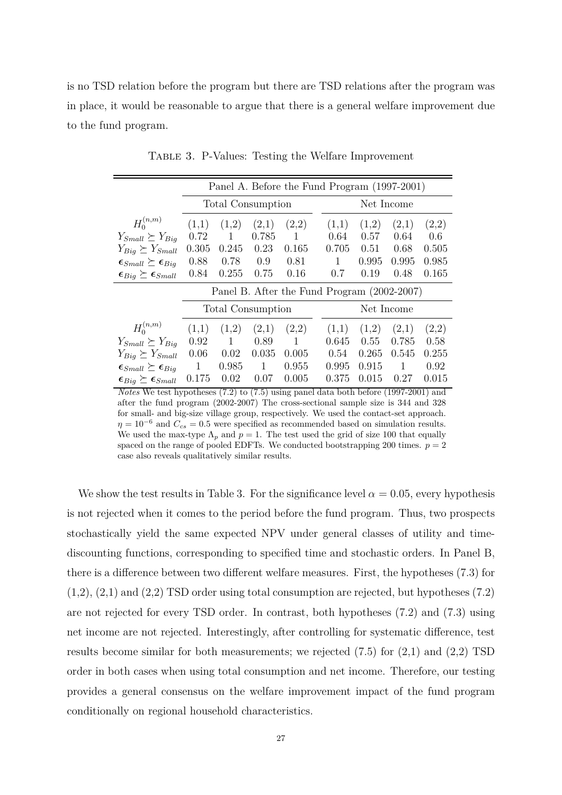is no TSD relation before the program but there are TSD relations after the program was in place, it would be reasonable to argue that there is a general welfare improvement due to the fund program.

|                                           | Panel A. Before the Fund Program (1997-2001) |              |       |              |  |            |       |              |       |  |  |
|-------------------------------------------|----------------------------------------------|--------------|-------|--------------|--|------------|-------|--------------|-------|--|--|
|                                           | <b>Total Consumption</b>                     |              |       |              |  | Net Income |       |              |       |  |  |
| $H_0^{(n,m)}$                             | (1,1)                                        | (1,2)        | (2,1) | (2,2)        |  | (1,1)      | (1,2) | (2,1)        | (2,2) |  |  |
| $Y_{Small} \succeq Y_{Big}$               | 0.72                                         | $\mathbf{1}$ | 0.785 | -1           |  | 0.64       | 0.57  | 0.64         | 0.6   |  |  |
| $Y_{Big} \succeq Y_{Small}$               | 0.305                                        | 0.245        | 0.23  | 0.165        |  | 0.705      | 0.51  | 0.68         | 0.505 |  |  |
| $\epsilon_{Small} \succeq \epsilon_{Big}$ | 0.88                                         | 0.78         | 0.9   | 0.81         |  | 1          | 0.995 | 0.995        | 0.985 |  |  |
| $\epsilon_{Big} \succeq \epsilon_{Small}$ | 0.84                                         | 0.255        | 0.75  | 0.16         |  | 0.7        | 0.19  | 0.48         | 0.165 |  |  |
|                                           | Panel B. After the Fund Program (2002-2007)  |              |       |              |  |            |       |              |       |  |  |
|                                           | <b>Total Consumption</b>                     |              |       |              |  | Net Income |       |              |       |  |  |
| $H_0^{(n,m)}$                             | (1,1)                                        | (1,2)        | (2,1) | (2,2)        |  | (1,1)      | (1,2) | (2,1)        | (2,2) |  |  |
| $Y_{Small} \succeq Y_{Big}$               | 0.92                                         | $\mathbf{1}$ | 0.89  | $\mathbf{1}$ |  | 0.645      | 0.55  | 0.785        | 0.58  |  |  |
| $Y_{Big} \succeq Y_{Small}$               | 0.06                                         | 0.02         | 0.035 | 0.005        |  | 0.54       | 0.265 | 0.545        | 0.255 |  |  |
| $\epsilon_{Small} \succeq \epsilon_{Big}$ | $\overline{1}$                               | 0.985        | 1     | 0.955        |  | 0.995      | 0.915 | $\mathbf{1}$ | 0.92  |  |  |
| $\epsilon_{Big} \succeq \epsilon_{Small}$ | 0.175                                        | 0.02         | 0.07  | 0.005        |  | 0.375      | 0.015 | 0.27         | 0.015 |  |  |

Table 3. P-Values: Testing the Welfare Improvement

*Notes* We test hypotheses (7.2) to (7.5) using panel data both before (1997-2001) and after the fund program (2002-2007) The cross-sectional sample size is 344 and 328 for small- and big-size village group, respectively. We used the contact-set approach.  $\eta = 10^{-6}$  and  $C_{cs} = 0.5$  were specified as recommended based on simulation results. We used the max-type  $\Lambda_p$  and  $p=1$ . The test used the grid of size 100 that equally spaced on the range of pooled EDFTs. We conducted bootstrapping 200 times.  $p = 2$ case also reveals qualitatively similar results.

We show the test results in Table 3. For the significance level  $\alpha = 0.05$ , every hypothesis is not rejected when it comes to the period before the fund program. Thus, two prospects stochastically yield the same expected NPV under general classes of utility and timediscounting functions, corresponding to specified time and stochastic orders. In Panel B, there is a difference between two different welfare measures. First, the hypotheses (7.3) for  $(1,2), (2,1)$  and  $(2,2)$  TSD order using total consumption are rejected, but hypotheses  $(7.2)$ are not rejected for every TSD order. In contrast, both hypotheses (7.2) and (7.3) using net income are not rejected. Interestingly, after controlling for systematic difference, test results become similar for both measurements; we rejected  $(7.5)$  for  $(2,1)$  and  $(2,2)$  TSD order in both cases when using total consumption and net income. Therefore, our testing provides a general consensus on the welfare improvement impact of the fund program conditionally on regional household characteristics.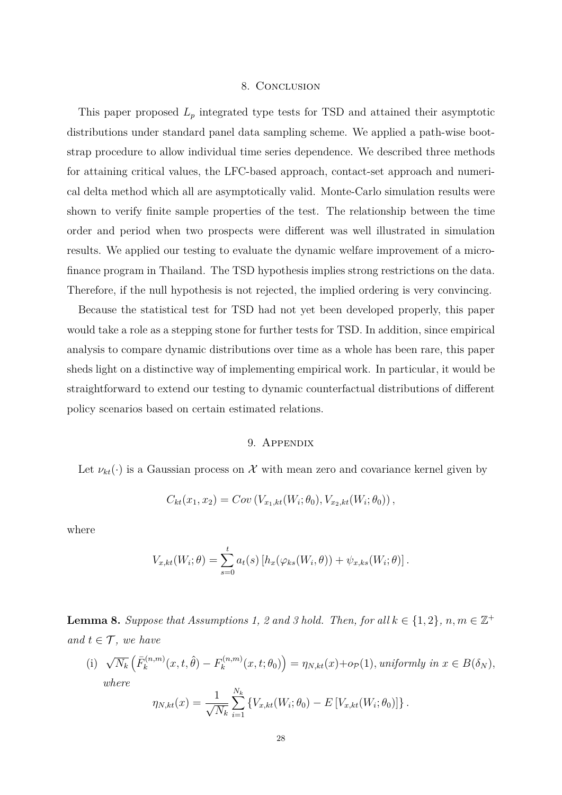#### 8. Conclusion

This paper proposed *L<sup>p</sup>* integrated type tests for TSD and attained their asymptotic distributions under standard panel data sampling scheme. We applied a path-wise bootstrap procedure to allow individual time series dependence. We described three methods for attaining critical values, the LFC-based approach, contact-set approach and numerical delta method which all are asymptotically valid. Monte-Carlo simulation results were shown to verify finite sample properties of the test. The relationship between the time order and period when two prospects were different was well illustrated in simulation results. We applied our testing to evaluate the dynamic welfare improvement of a microfinance program in Thailand. The TSD hypothesis implies strong restrictions on the data. Therefore, if the null hypothesis is not rejected, the implied ordering is very convincing.

Because the statistical test for TSD had not yet been developed properly, this paper would take a role as a stepping stone for further tests for TSD. In addition, since empirical analysis to compare dynamic distributions over time as a whole has been rare, this paper sheds light on a distinctive way of implementing empirical work. In particular, it would be straightforward to extend our testing to dynamic counterfactual distributions of different policy scenarios based on certain estimated relations.

### 9. APPENDIX

Let  $\nu_{kt}(\cdot)$  is a Gaussian process on X with mean zero and covariance kernel given by

$$
C_{kt}(x_1, x_2) = Cov(V_{x_1,kt}(W_i; \theta_0), V_{x_2,kt}(W_i; \theta_0)),
$$

where

$$
V_{x,kt}(W_i; \theta) = \sum_{s=0}^t a_t(s) \left[ h_x(\varphi_{ks}(W_i, \theta)) + \psi_{x,ks}(W_i; \theta) \right].
$$

**Lemma 8.** Suppose that Assumptions 1, 2 and 3 hold. Then, for all  $k \in \{1,2\}$ ,  $n, m \in \mathbb{Z}^+$ *and*  $t \in \mathcal{T}$ *, we have* 

 $(i) \sqrt{N_k} \left( \bar{F}_k^{(n,m)} \right)$  $F_k^{(n,m)}(x,t,\hat{\theta}) - F_k^{(n,m)}$  $\eta_k^{(n,m)}(x,t;\theta_0)$  =  $\eta_{N,kt}(x)$  +  $o_{\mathcal{P}}(1)$ *, uniformly in*  $x \in B(\delta_N)$ *, where N<sup>k</sup>*

$$
\eta_{N,kt}(x) = \frac{1}{\sqrt{N_k}} \sum_{i=1}^{N_k} \{ V_{x,kt}(W_i; \theta_0) - E\left[V_{x,kt}(W_i; \theta_0)\right] \}.
$$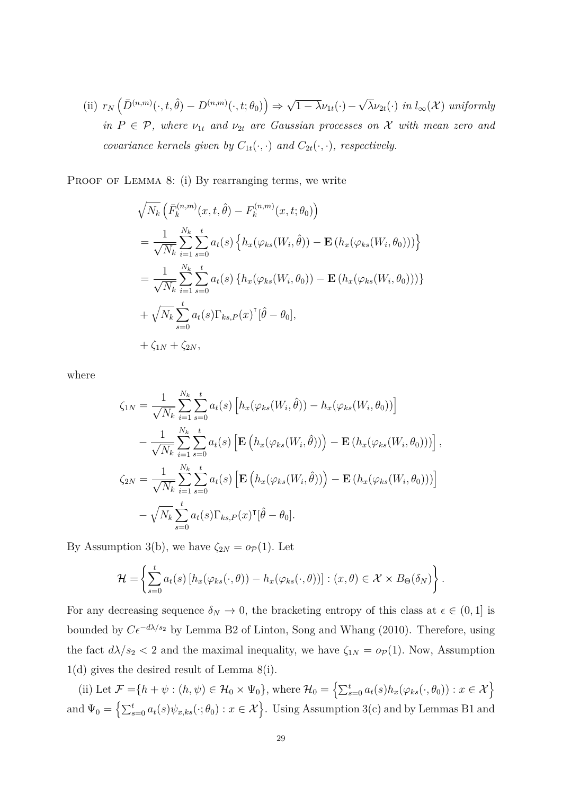$\text{(ii)}$   $r_N\left(\overline{D}^{(n,m)}(\cdot,t,\hat{\theta}) - D^{(n,m)}(\cdot,t;\theta_0)\right) \Rightarrow$ √  $(1 - \lambda \nu_{1t}(\cdot) -$ √  $\lambda \nu_{2t}(\cdot)$  *in*  $l_{\infty}(\mathcal{X})$  *uniformly in*  $P \in \mathcal{P}$ *, where*  $\nu_{1t}$  *and*  $\nu_{2t}$  *are Gaussian processes on* X *with mean zero and covariance kernels given by*  $C_{1t}(\cdot, \cdot)$  *and*  $C_{2t}(\cdot, \cdot)$ *, respectively.* 

PROOF OF LEMMA 8: (i) By rearranging terms, we write

$$
\sqrt{N_k} \left( \bar{F}_k^{(n,m)}(x, t, \hat{\theta}) - F_k^{(n,m)}(x, t; \theta_0) \right)
$$
  
\n
$$
= \frac{1}{\sqrt{N_k}} \sum_{i=1}^{N_k} \sum_{s=0}^t a_t(s) \left\{ h_x(\varphi_{ks}(W_i, \hat{\theta})) - \mathbf{E} \left( h_x(\varphi_{ks}(W_i, \theta_0)) \right) \right\}
$$
  
\n
$$
= \frac{1}{\sqrt{N_k}} \sum_{i=1}^{N_k} \sum_{s=0}^t a_t(s) \left\{ h_x(\varphi_{ks}(W_i, \theta_0)) - \mathbf{E} \left( h_x(\varphi_{ks}(W_i, \theta_0)) \right) \right\}
$$
  
\n
$$
+ \sqrt{N_k} \sum_{s=0}^t a_t(s) \Gamma_{ks, P}(x)^\mathsf{T} [\hat{\theta} - \theta_0],
$$
  
\n
$$
+ \zeta_{1N} + \zeta_{2N},
$$

where

$$
\zeta_{1N} = \frac{1}{\sqrt{N_k}} \sum_{i=1}^{N_k} \sum_{s=0}^{t} a_t(s) \left[ h_x(\varphi_{ks}(W_i, \hat{\theta})) - h_x(\varphi_{ks}(W_i, \theta_0)) \right] \n- \frac{1}{\sqrt{N_k}} \sum_{i=1}^{N_k} \sum_{s=0}^{t} a_t(s) \left[ \mathbf{E} \left( h_x(\varphi_{ks}(W_i, \hat{\theta})) \right) - \mathbf{E} \left( h_x(\varphi_{ks}(W_i, \theta_0)) \right) \right],
$$
\n
$$
\zeta_{2N} = \frac{1}{\sqrt{N_k}} \sum_{i=1}^{N_k} \sum_{s=0}^{t} a_t(s) \left[ \mathbf{E} \left( h_x(\varphi_{ks}(W_i, \hat{\theta})) \right) - \mathbf{E} \left( h_x(\varphi_{ks}(W_i, \theta_0)) \right) \right] \n- \sqrt{N_k} \sum_{s=0}^{t} a_t(s) \Gamma_{ks, P}(x)^\mathsf{T} [\hat{\theta} - \theta_0].
$$

By Assumption 3(b), we have  $\zeta_{2N} = o_P(1)$ . Let

$$
\mathcal{H} = \left\{ \sum_{s=0}^{t} a_t(s) \left[ h_x(\varphi_{ks}(\cdot,\theta)) - h_x(\varphi_{ks}(\cdot,\theta)) \right] : (x,\theta) \in \mathcal{X} \times B_{\Theta}(\delta_N) \right\}.
$$

For any decreasing sequence  $\delta_N \to 0$ , the bracketing entropy of this class at  $\epsilon \in (0,1]$  is bounded by  $C\epsilon^{-d\lambda/s_2}$  by Lemma B2 of Linton, Song and Whang (2010). Therefore, using the fact  $d\lambda/s_2 < 2$  and the maximal inequality, we have  $\zeta_{1N} = o_P(1)$ . Now, Assumption 1(d) gives the desired result of Lemma 8(i).

(ii) Let  $\mathcal{F} = \{h + \psi : (h, \psi) \in \mathcal{H}_0 \times \Psi_0\}$ , where  $\mathcal{H}_0 = \left\{\sum_{s=0}^t a_t(s) h_x(\varphi_{ks}(\cdot, \theta_0)) : x \in \mathcal{X}\right\}$ and  $\Psi_0 = \left\{ \sum_{s=0}^t a_t(s) \psi_{x,ks}(\cdot; \theta_0) : x \in \mathcal{X} \right\}$ . Using Assumption 3(c) and by Lemmas B1 and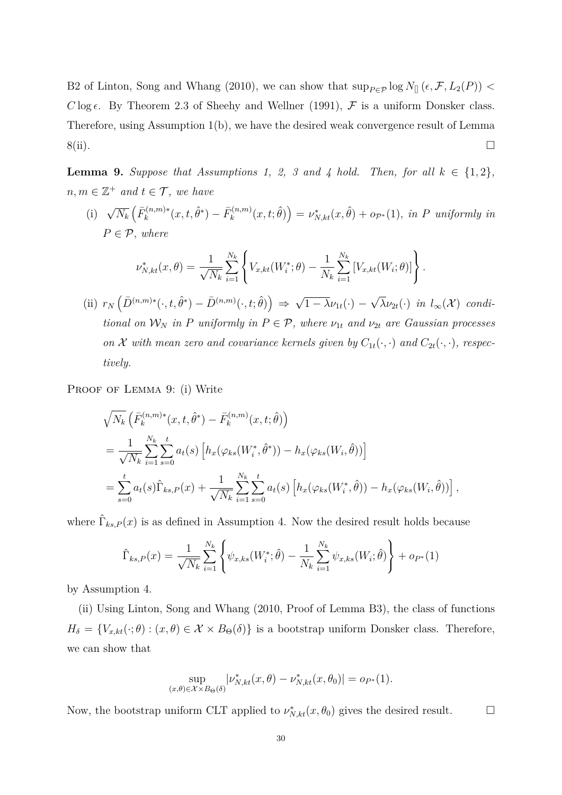B2 of Linton, Song and Whang (2010), we can show that  $\sup_{P \in \mathcal{P}} \log N_{\parallel} (\epsilon, \mathcal{F}, L_2(P))$ *C* log  $\epsilon$ . By Theorem 2.3 of Sheehy and Wellner (1991),  $\mathcal{F}$  is a uniform Donsker class. Therefore, using Assumption 1(b), we have the desired weak convergence result of Lemma  $8(ii)$ .

**Lemma 9.** Suppose that Assumptions 1, 2, 3 and 4 hold. Then, for all  $k \in \{1,2\}$ ,  $n, m \in \mathbb{Z}^+$  *and*  $t \in \mathcal{T}$ *, we have* 

 $(i)$   $\sqrt{N_k} \left( \bar{F}_k^{(n,m)*} \right)$  $\bar{F}_k^{(n,m)*}(x,t,\hat{\theta}^*) - \bar{F}_k^{(n,m)}$  $\nu_k^{(n,m)}(x,t;\hat{\theta}) = \nu_{N,kt}^*(x,\hat{\theta}) + o_{\mathcal{P}^*}(1)$ *, in P uniformly in*  $P \in \mathcal{P}$ *, where* 

$$
\nu_{N,kt}^*(x,\theta) = \frac{1}{\sqrt{N_k}} \sum_{i=1}^{N_k} \left\{ V_{x,kt}(W_i^*;\theta) - \frac{1}{N_k} \sum_{i=1}^{N_k} \left[ V_{x,kt}(W_i;\theta) \right] \right\}.
$$

 $\left(\text{ii}) \ r_N\left(\bar{D}^{(n,m)*}(\cdot,t,\hat{\theta}^*) - \bar{D}^{(n,m)}(\cdot,t;\hat{\theta})\right) \Rightarrow$ √  $(1 - \lambda \nu_{1t}(\cdot))$  – √  $\lambda \nu_{2t}(\cdot)$  *in*  $l_{\infty}(\mathcal{X})$  *conditional on*  $W_N$  *in P uniformly in*  $P \in \mathcal{P}$ *, where*  $v_{1t}$  *and*  $v_{2t}$  *are Gaussian processes on X with mean zero and covariance kernels given by*  $C_{1t}(\cdot, \cdot)$  *and*  $C_{2t}(\cdot, \cdot)$ *, respectively.*

PROOF OF LEMMA 9: (i) Write

$$
\sqrt{N_k} \left( \bar{F}_k^{(n,m)*}(x, t, \hat{\theta}^*) - \bar{F}_k^{(n,m)}(x, t; \hat{\theta}) \right)
$$
\n
$$
= \frac{1}{\sqrt{N_k}} \sum_{i=1}^{N_k} \sum_{s=0}^t a_t(s) \left[ h_x(\varphi_{ks}(W_i^*, \hat{\theta}^*)) - h_x(\varphi_{ks}(W_i, \hat{\theta})) \right]
$$
\n
$$
= \sum_{s=0}^t a_t(s) \hat{\Gamma}_{ks, P}(x) + \frac{1}{\sqrt{N_k}} \sum_{i=1}^{N_k} \sum_{s=0}^t a_t(s) \left[ h_x(\varphi_{ks}(W_i^*, \hat{\theta})) - h_x(\varphi_{ks}(W_i, \hat{\theta})) \right],
$$

where  $\hat{\Gamma}_{ks,P}(x)$  is as defined in Assumption 4. Now the desired result holds because

$$
\hat{\Gamma}_{ks,P}(x) = \frac{1}{\sqrt{N_k}} \sum_{i=1}^{N_k} \left\{ \psi_{x,ks}(W_i^*; \hat{\theta}) - \frac{1}{N_k} \sum_{i=1}^{N_k} \psi_{x,ks}(W_i; \hat{\theta}) \right\} + o_{P^*}(1)
$$

by Assumption 4.

(ii) Using Linton, Song and Whang (2010, Proof of Lemma B3), the class of functions  $H_{\delta} = \{V_{x,kt}(\cdot; \theta) : (x, \theta) \in \mathcal{X} \times B_{\Theta}(\delta)\}\$ is a bootstrap uniform Donsker class. Therefore, we can show that

$$
\sup_{(x,\theta)\in\mathcal{X}\times B_{\Theta}(\delta)}|\nu^*_{N,kt}(x,\theta)-\nu^*_{N,kt}(x,\theta_0)|=o_{P^*}(1).
$$

Now, the bootstrap uniform CLT applied to  $\nu_{N,kt}^*(x, \theta_0)$  gives the desired result.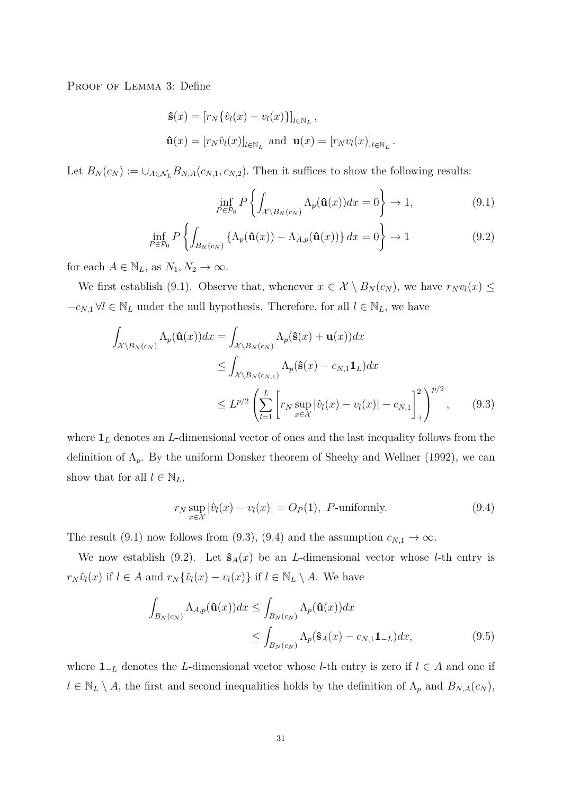PROOF OF LEMMA 3: Define

$$
\hat{\mathbf{s}}(x) = [r_N \{\hat{v}_l(x) - v_l(x)\}]_{l \in \mathbb{N}_L},
$$
  

$$
\hat{\mathbf{u}}(x) = [r_N \hat{v}_l(x)]_{l \in \mathbb{N}_L} \text{ and } \mathbf{u}(x) = [r_N v_l(x)]_{l \in \mathbb{N}_L}
$$

Let  $B_N(c_N) := \bigcup_{A \in \mathcal{N}_L} B_{N,A}(c_{N,1}, c_{N,2})$ . Then it suffices to show the following results:

$$
\inf_{P \in \mathcal{P}_0} P\left\{ \int_{\mathcal{X} \backslash B_N(c_N)} \Lambda_p(\hat{\mathbf{u}}(x)) dx = 0 \right\} \to 1,
$$
\n(9.1)

*.*

$$
\inf_{P \in \mathcal{P}_0} P\left\{ \int_{B_N(c_N)} \left\{ \Lambda_p(\hat{\mathbf{u}}(x)) - \Lambda_{A,p}(\hat{\mathbf{u}}(x)) \right\} dx = 0 \right\} \to 1
$$
\n(9.2)

for each  $A \in \mathbb{N}_L$ , as  $N_1, N_2 \to \infty$ .

We first establish (9.1). Observe that, whenever  $x \in \mathcal{X} \setminus B_N(c_N)$ , we have  $r_N v_l(x) \leq$  $-c_{N,1}$  ∀*l* ∈ N<sub>*L*</sub> under the null hypothesis. Therefore, for all  $l \in N_L$ , we have

$$
\int_{\mathcal{X}\backslash B_N(c_N)} \Lambda_p(\hat{\mathbf{u}}(x))dx = \int_{\mathcal{X}\backslash B_N(c_N)} \Lambda_p(\hat{\mathbf{s}}(x) + \mathbf{u}(x))dx
$$
\n
$$
\leq \int_{\mathcal{X}\backslash B_N(c_{N,1})} \Lambda_p(\hat{\mathbf{s}}(x) - c_{N,1}\mathbf{1}_L)dx
$$
\n
$$
\leq L^{p/2} \left(\sum_{l=1}^L \left[ r_N \sup_{x \in \mathcal{X}} |\hat{v}_l(x) - v_l(x)| - c_{N,1} \right]_+^2 \right)^{p/2}, \qquad (9.3)
$$

where **1***<sup>L</sup>* denotes an *L*-dimensional vector of ones and the last inequality follows from the definition of  $\Lambda_p$ . By the uniform Donsker theorem of Sheehy and Wellner (1992), we can show that for all  $l \in \mathbb{N}_L$ ,

$$
r_N \sup_{x \in \mathcal{X}} |\hat{v}_l(x) - v_l(x)| = O_P(1), \ P\text{-uniformly.}
$$
\n(9.4)

The result (9.1) now follows from (9.3), (9.4) and the assumption  $c_{N,1} \to \infty$ .

We now establish (9.2). Let  $\hat{\mathbf{s}}_A(x)$  be an *L*-dimensional vector whose *l*-th entry is *r*<sup>*N*</sup> $i$ </sub>(*x*) if  $l \in A$  and  $r_N$  { $\hat{v}_l(x) - v_l(x)$ } if  $l \in \mathbb{N}_L \setminus A$ . We have

$$
\int_{B_N(c_N)} \Lambda_{A,p}(\hat{\mathbf{u}}(x))dx \le \int_{B_N(c_N)} \Lambda_p(\hat{\mathbf{u}}(x))dx
$$
\n
$$
\le \int_{B_N(c_N)} \Lambda_p(\hat{\mathbf{s}}_A(x) - c_{N,1} \mathbf{1}_{-L})dx, \tag{9.5}
$$

where **1**<sup>−</sup>*<sup>L</sup>* denotes the *L*-dimensional vector whose *l*-th entry is zero if *l* ∈ *A* and one if  $l \in \mathbb{N}_L \setminus A$ , the first and second inequalities holds by the definition of  $\Lambda_p$  and  $B_{N,A}(c_N)$ ,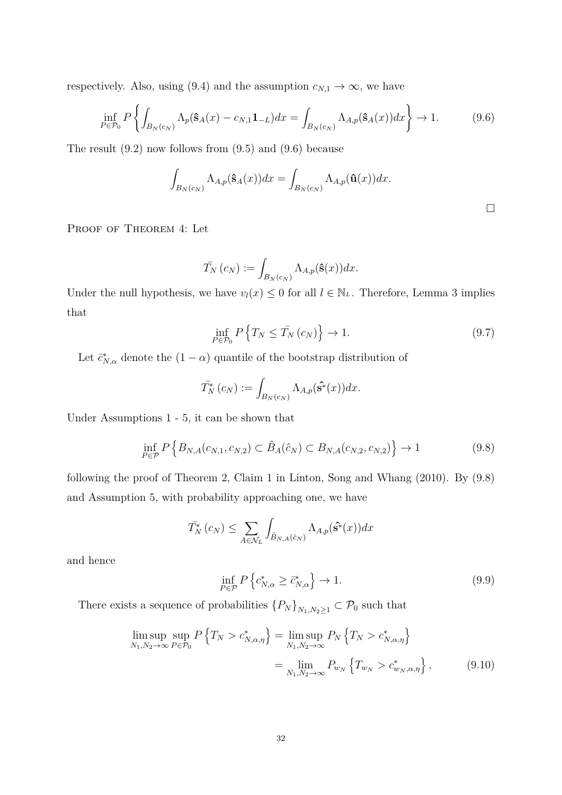respectively. Also, using (9.4) and the assumption  $c_{N,1} \to \infty$ , we have

$$
\inf_{P \in \mathcal{P}_0} P\left\{ \int_{B_N(c_N)} \Lambda_p(\hat{\mathbf{s}}_A(x) - c_{N,1} \mathbf{1}_{-L}) dx = \int_{B_N(c_N)} \Lambda_{A,p}(\hat{\mathbf{s}}_A(x)) dx \right\} \to 1. \tag{9.6}
$$

The result (9.2) now follows from (9.5) and (9.6) because

$$
\int_{B_N(c_N)} \Lambda_{A,p}(\hat{\mathbf{s}}_A(x))dx = \int_{B_N(c_N)} \Lambda_{A,p}(\hat{\mathbf{u}}(x))dx.
$$

PROOF OF THEOREM 4: Let

$$
\bar{T}_N(c_N) := \int_{B_N(c_N)} \Lambda_{A,p}(\hat{\mathbf{s}}(x))dx.
$$

Under the null hypothesis, we have  $v_l(x) \leq 0$  for all  $l \in \mathbb{N}_L$ . Therefore, Lemma 3 implies that

$$
\inf_{P \in \mathcal{P}_0} P\left\{ T_N \le \bar{T}_N \left( c_N \right) \right\} \to 1. \tag{9.7}
$$

Let  $\bar{c}_{N,\alpha}^*$  denote the  $(1-\alpha)$  quantile of the bootstrap distribution of

$$
\bar{T}_{N}^{*}(c_{N}) := \int_{B_{N}(c_{N})} \Lambda_{A,p}(\hat{\mathbf{s}}^{*}(x))dx.
$$

Under Assumptions 1 - 5, it can be shown that

$$
\inf_{P \in \mathcal{P}} P\left\{ B_{N,A}(c_{N,1}, c_{N,2}) \subset \hat{B}_A(\hat{c}_N) \subset B_{N,A}(c_{N,2}, c_{N,2}) \right\} \to 1 \tag{9.8}
$$

following the proof of Theorem 2, Claim 1 in Linton, Song and Whang (2010). By (9.8) and Assumption 5, with probability approaching one, we have

$$
\bar{T}_{N}^{*}\left(c_{N}\right) \leq \sum_{A \in \mathcal{N}_{L}} \int_{\hat{B}_{N,A}\left(\hat{c}_{N}\right)} \Lambda_{A,p}(\hat{\mathbf{s}}^{*}(x)) dx
$$

and hence

$$
\inf_{P \in \mathcal{P}} P\left\{c_{N,\alpha}^* \ge \bar{c}_{N,\alpha}^*\right\} \to 1. \tag{9.9}
$$

There exists a sequence of probabilities  ${P_N}_{N_1,N_2\geq 1} \subset P_0$  such that

$$
\limsup_{N_1, N_2 \to \infty} P\left\{T_N > c^*_{N,\alpha,\eta}\right\} = \limsup_{N_1, N_2 \to \infty} P_N\left\{T_N > c^*_{N,\alpha,\eta}\right\}
$$
\n
$$
= \lim_{N_1, N_2 \to \infty} P_{w_N}\left\{T_{w_N} > c^*_{w_N,\alpha,\eta}\right\},\tag{9.10}
$$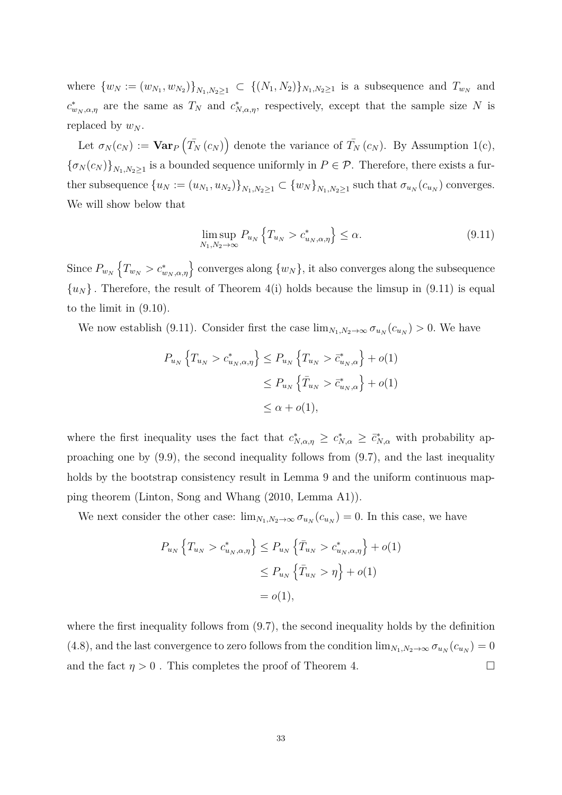where  $\{w_N := (w_{N_1}, w_{N_2})\}_{N_1, N_2 \ge 1} \subset \{(N_1, N_2)\}_{N_1, N_2 \ge 1}$  is a subsequence and  $T_{w_N}$  and  $c^*_{w_N,\alpha,\eta}$  are the same as  $T_N$  and  $c^*_{N,\alpha,\eta}$ , respectively, except that the sample size N is replaced by  $w_N$ .

Let  $\sigma_N(c_N) := \textbf{Var}_P(\bar{T}_N(c_N))$  denote the variance of  $\bar{T}_N(c_N)$ . By Assumption 1(c),  ${\{\sigma_N(c_N)\}}_{N_1,N_2\geq 1}$  is a bounded sequence uniformly in  $P\in\mathcal{P}$ . Therefore, there exists a further subsequence  $\{u_N:=(u_{N_1}, u_{N_2})\}_{N_1,N_2\geq 1} \subset \{w_N\}_{N_1,N_2\geq 1}$  such that  $\sigma_{u_N}(c_{u_N})$  converges. We will show below that

$$
\limsup_{N_1, N_2 \to \infty} P_{u_N} \left\{ T_{u_N} > c_{u_N, \alpha, \eta}^* \right\} \le \alpha.
$$
\n(9.11)

Since  $P_{w_N}$   $\left\{T_{w_N} > c^*_{w_N,\alpha,\eta}\right\}$  converges along  $\{w_N\}$ , it also converges along the subsequence  $\{u_N\}$ . Therefore, the result of Theorem 4(i) holds because the limsup in (9.11) is equal to the limit in (9.10).

We now establish (9.11). Consider first the case  $\lim_{N_1,N_2\to\infty} \sigma_{u_N}(c_{u_N}) > 0$ . We have

$$
P_{u_N}\left\{T_{u_N} > c_{u_N,\alpha,\eta}^*\right\} \le P_{u_N}\left\{T_{u_N} > \bar{c}_{u_N,\alpha}^*\right\} + o(1)
$$
  

$$
\le P_{u_N}\left\{\bar{T}_{u_N} > \bar{c}_{u_N,\alpha}^*\right\} + o(1)
$$
  

$$
\le \alpha + o(1),
$$

where the first inequality uses the fact that  $c^*_{N,\alpha,\eta} \geq c^*_{N,\alpha} \geq \bar{c}^*_{N,\alpha}$  with probability approaching one by (9.9), the second inequality follows from (9.7), and the last inequality holds by the bootstrap consistency result in Lemma 9 and the uniform continuous mapping theorem (Linton, Song and Whang (2010, Lemma A1)).

We next consider the other case:  $\lim_{N_1,N_2\to\infty} \sigma_{u_N}(c_{u_N}) = 0$ . In this case, we have

$$
P_{u_N} \left\{ T_{u_N} > c_{u_N, \alpha, \eta}^* \right\} \le P_{u_N} \left\{ \bar{T}_{u_N} > c_{u_N, \alpha, \eta}^* \right\} + o(1)
$$
  

$$
\le P_{u_N} \left\{ \bar{T}_{u_N} > \eta \right\} + o(1)
$$
  

$$
= o(1),
$$

where the first inequality follows from  $(9.7)$ , the second inequality holds by the definition (4.8), and the last convergence to zero follows from the condition  $\lim_{N_1,N_2\to\infty} \sigma_{u_N}(c_{u_N})=0$ and the fact  $\eta > 0$ . This completes the proof of Theorem 4.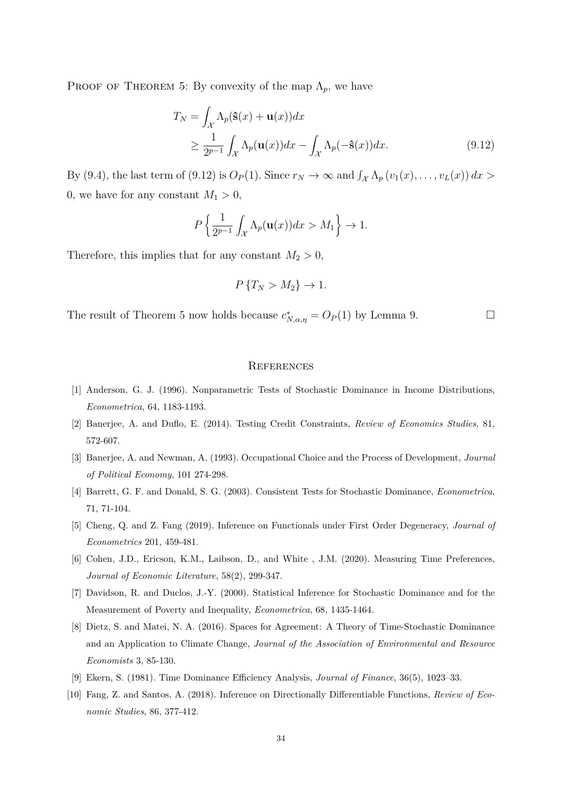PROOF OF THEOREM 5: By convexity of the map  $\Lambda_p$ , we have

$$
T_N = \int_{\mathcal{X}} \Lambda_p(\hat{\mathbf{s}}(x) + \mathbf{u}(x)) dx
$$
  
\n
$$
\geq \frac{1}{2^{p-1}} \int_{\mathcal{X}} \Lambda_p(\mathbf{u}(x)) dx - \int_{\mathcal{X}} \Lambda_p(-\hat{\mathbf{s}}(x)) dx.
$$
 (9.12)

By (9.4), the last term of (9.12) is  $O_P(1)$ . Since  $r_N \to \infty$  and  $\int_{\mathcal{X}} \Lambda_p(v_1(x), \ldots, v_L(x)) dx >$ 0, we have for any constant  $M_1 > 0$ ,

$$
P\left\{\frac{1}{2^{p-1}}\int_{\mathcal{X}}\Lambda_p(\mathbf{u}(x))dx>M_1\right\}\to 1.
$$

Therefore, this implies that for any constant  $M_2 > 0$ ,

$$
P\{T_N > M_2\} \to 1.
$$

The result of Theorem 5 now holds because  $c^*_{N,\alpha,\eta} = O_P(1)$  by Lemma 9.

#### **REFERENCES**

- [1] Anderson, G. J. (1996). Nonparametric Tests of Stochastic Dominance in Income Distributions, *Econometrica*, 64, 1183-1193.
- [2] Banerjee, A. and Duflo, E. (2014). Testing Credit Constraints, *Review of Economics Studies*, 81, 572-607.
- [3] Banerjee, A. and Newman, A. (1993). Occupational Choice and the Process of Development, *Journal of Political Economy*, 101 274-298.
- [4] Barrett, G. F. and Donald, S. G. (2003). Consistent Tests for Stochastic Dominance, *Econometrica*, 71, 71-104.
- [5] Cheng, Q. and Z. Fang (2019). Inference on Functionals under First Order Degeneracy, *Journal of Econometrics* 201, 459-481.
- [6] Cohen, J.D., Ericson, K.M., Laibson, D., and White , J.M. (2020). Measuring Time Preferences, *Journal of Economic Literature*, 58(2), 299-347.
- [7] Davidson, R. and Duclos, J.-Y. (2000). Statistical Inference for Stochastic Dominance and for the Measurement of Poverty and Inequality, *Econometrica*, 68, 1435-1464.
- [8] Dietz, S. and Matei, N. A. (2016). Spaces for Agreement: A Theory of Time-Stochastic Dominance and an Application to Climate Change, *Journal of the Association of Environmental and Resource Economists* 3, 85-130.
- [9] Ekern, S. (1981). Time Dominance Efficiency Analysis, *Journal of Finance*, 36(5), 1023–33.
- [10] Fang, Z. and Santos, A. (2018). Inference on Directionally Differentiable Functions, *Review of Economic Studies*, 86, 377-412.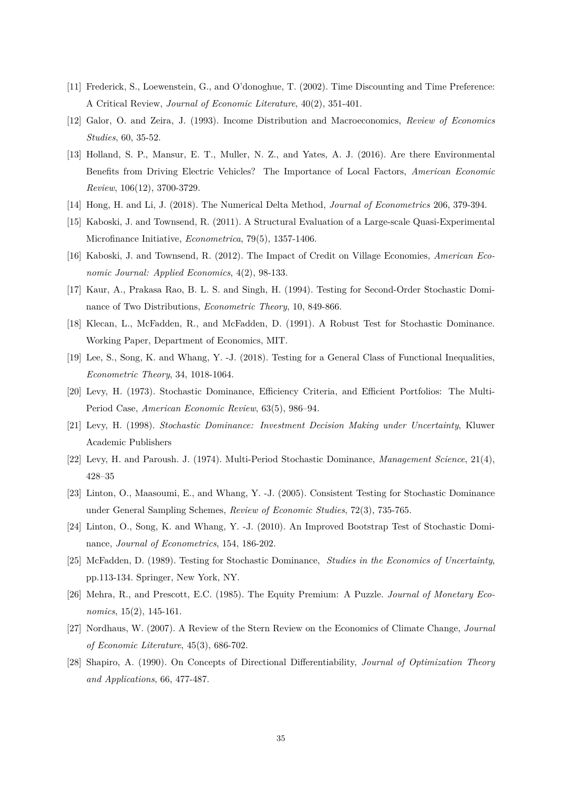- [11] Frederick, S., Loewenstein, G., and O'donoghue, T. (2002). Time Discounting and Time Preference: A Critical Review, *Journal of Economic Literature*, 40(2), 351-401.
- [12] Galor, O. and Zeira, J. (1993). Income Distribution and Macroeconomics, *Review of Economics Studies*, 60, 35-52.
- [13] Holland, S. P., Mansur, E. T., Muller, N. Z., and Yates, A. J. (2016). Are there Environmental Benefits from Driving Electric Vehicles? The Importance of Local Factors, *American Economic Review*, 106(12), 3700-3729.
- [14] Hong, H. and Li, J. (2018). The Numerical Delta Method, *Journal of Econometrics* 206, 379-394.
- [15] Kaboski, J. and Townsend, R. (2011). A Structural Evaluation of a Large-scale Quasi-Experimental Microfinance Initiative, *Econometrica*, 79(5), 1357-1406.
- [16] Kaboski, J. and Townsend, R. (2012). The Impact of Credit on Village Economies, *American Economic Journal: Applied Economics*, 4(2), 98-133.
- [17] Kaur, A., Prakasa Rao, B. L. S. and Singh, H. (1994). Testing for Second-Order Stochastic Dominance of Two Distributions, *Econometric Theory*, 10, 849-866.
- [18] Klecan, L., McFadden, R., and McFadden, D. (1991). A Robust Test for Stochastic Dominance. Working Paper, Department of Economics, MIT.
- [19] Lee, S., Song, K. and Whang, Y. -J. (2018). Testing for a General Class of Functional Inequalities, *Econometric Theory*, 34, 1018-1064.
- [20] Levy, H. (1973). Stochastic Dominance, Efficiency Criteria, and Efficient Portfolios: The Multi-Period Case, *American Economic Review*, 63(5), 986–94.
- [21] Levy, H. (1998). *Stochastic Dominance: Investment Decision Making under Uncertainty*, Kluwer Academic Publishers
- [22] Levy, H. and Paroush. J. (1974). Multi-Period Stochastic Dominance, *Management Science*, 21(4), 428–35
- [23] Linton, O., Maasoumi, E., and Whang, Y. -J. (2005). Consistent Testing for Stochastic Dominance under General Sampling Schemes, *Review of Economic Studies*, 72(3), 735-765.
- [24] Linton, O., Song, K. and Whang, Y. -J. (2010). An Improved Bootstrap Test of Stochastic Dominance, *Journal of Econometrics*, 154, 186-202.
- [25] McFadden, D. (1989). Testing for Stochastic Dominance, *Studies in the Economics of Uncertainty*, pp.113-134. Springer, New York, NY.
- [26] Mehra, R., and Prescott, E.C. (1985). The Equity Premium: A Puzzle. *Journal of Monetary Economics*, 15(2), 145-161.
- [27] Nordhaus, W. (2007). A Review of the Stern Review on the Economics of Climate Change, *Journal of Economic Literature*, 45(3), 686-702.
- [28] Shapiro, A. (1990). On Concepts of Directional Differentiability, *Journal of Optimization Theory and Applications*, 66, 477-487.